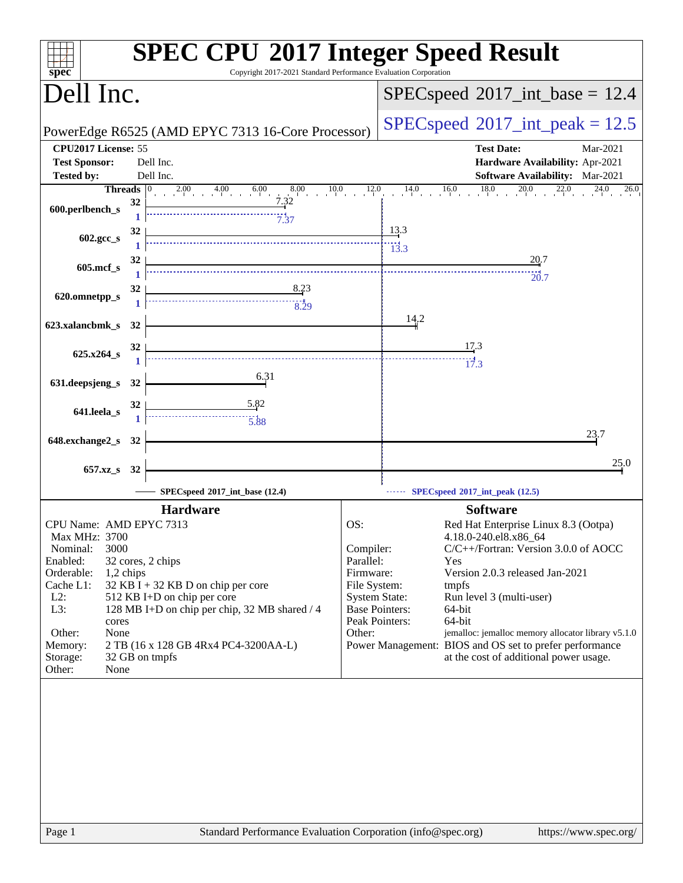| Copyright 2017-2021 Standard Performance Evaluation Corporation<br>$spec^*$                                                                                                                                                                                                                                                                                                                                       | <b>SPEC CPU®2017 Integer Speed Result</b>                                                                                                                                                                                                                                                                                                                                                                                                                                                                      |
|-------------------------------------------------------------------------------------------------------------------------------------------------------------------------------------------------------------------------------------------------------------------------------------------------------------------------------------------------------------------------------------------------------------------|----------------------------------------------------------------------------------------------------------------------------------------------------------------------------------------------------------------------------------------------------------------------------------------------------------------------------------------------------------------------------------------------------------------------------------------------------------------------------------------------------------------|
| Dell Inc.                                                                                                                                                                                                                                                                                                                                                                                                         | $SPEC speed^{\circ}2017\_int\_base = 12.4$                                                                                                                                                                                                                                                                                                                                                                                                                                                                     |
| PowerEdge R6525 (AMD EPYC 7313 16-Core Processor)                                                                                                                                                                                                                                                                                                                                                                 | $SPEC speed^{\circ}2017\_int\_peak = 12.5$                                                                                                                                                                                                                                                                                                                                                                                                                                                                     |
| CPU2017 License: 55<br><b>Test Sponsor:</b><br>Dell Inc.                                                                                                                                                                                                                                                                                                                                                          | <b>Test Date:</b><br>Mar-2021<br>Hardware Availability: Apr-2021                                                                                                                                                                                                                                                                                                                                                                                                                                               |
| Dell Inc.<br><b>Tested by:</b>                                                                                                                                                                                                                                                                                                                                                                                    | <b>Software Availability:</b> Mar-2021                                                                                                                                                                                                                                                                                                                                                                                                                                                                         |
| 600.perlbench_s                                                                                                                                                                                                                                                                                                                                                                                                   | Threads $\begin{bmatrix} 0 & 2.00 & 4.00 & 6.00 & 8.00 & 10.0 & 12.0 & 14.0 & 16.0 & 18.0 & 20.0 & 22.0 & 24.0 & 26.0 \\ 0.1 & 32 & 32 & 7.32 & 7.37 & 7.37 & 7.37 & 7.37 & 7.37 & 7.37 & 7.37 & 7.37 & 7.37 & 7.37 & 7.37 & 7.37 & 7.38 & 7.39 & 7.30 & 7.30 & 7.30 & 7.3$                                                                                                                                                                                                                                    |
| $\begin{array}{ c c c c }\n\hline\n&13.3 \\ \hline\n&13.3 \\ \hline\n&13.3\n\end{array}$<br>32<br>602.gcc_s                                                                                                                                                                                                                                                                                                       |                                                                                                                                                                                                                                                                                                                                                                                                                                                                                                                |
| 32<br>605.mcf_s                                                                                                                                                                                                                                                                                                                                                                                                   |                                                                                                                                                                                                                                                                                                                                                                                                                                                                                                                |
| $\frac{8.23}{1}$<br>620.omnetpp_s                                                                                                                                                                                                                                                                                                                                                                                 |                                                                                                                                                                                                                                                                                                                                                                                                                                                                                                                |
| 623.xalancbmk_s 32                                                                                                                                                                                                                                                                                                                                                                                                | 14.2                                                                                                                                                                                                                                                                                                                                                                                                                                                                                                           |
| 625.x264_s $32$ $\overline{\qquad}$ $\qquad$ $\qquad$ $\qquad$ $\qquad$ $\qquad$ $\qquad$ $\qquad$ $\qquad$ $\qquad$ $\qquad$ $\qquad$ $\qquad$ $\qquad$ $\qquad$ $\qquad$ $\qquad$ $\qquad$ $\qquad$ $\qquad$ $\qquad$ $\qquad$ $\qquad$ $\qquad$ $\qquad$ $\qquad$ $\qquad$ $\qquad$ $\qquad$ $\qquad$ $\qquad$ $\qquad$ $\qquad$ $\q$                                                                          | $\frac{17.3}{4}$                                                                                                                                                                                                                                                                                                                                                                                                                                                                                               |
| $\overline{6.31}$<br>631.deepsjeng_s 32                                                                                                                                                                                                                                                                                                                                                                           |                                                                                                                                                                                                                                                                                                                                                                                                                                                                                                                |
| 641.leela_s $\frac{32}{1}$<br>$\begin{array}{ c c }\n & 5.82 \\  \hline\n & 5.88\n \end{array}$                                                                                                                                                                                                                                                                                                                   |                                                                                                                                                                                                                                                                                                                                                                                                                                                                                                                |
| 648.exchange2_s 32                                                                                                                                                                                                                                                                                                                                                                                                | 23.7                                                                                                                                                                                                                                                                                                                                                                                                                                                                                                           |
| 657.xz_s 32                                                                                                                                                                                                                                                                                                                                                                                                       | 25.0                                                                                                                                                                                                                                                                                                                                                                                                                                                                                                           |
| SPECspeed <sup>®</sup> 2017_int_base (12.4)                                                                                                                                                                                                                                                                                                                                                                       | SPECspeed®2017_int_peak (12.5)                                                                                                                                                                                                                                                                                                                                                                                                                                                                                 |
| <b>Hardware</b>                                                                                                                                                                                                                                                                                                                                                                                                   | <b>Software</b>                                                                                                                                                                                                                                                                                                                                                                                                                                                                                                |
| CPU Name: AMD EPYC 7313<br><b>Max MHz: 3700</b><br>Nominal:<br>3000<br>Enabled:<br>32 cores, 2 chips<br>Orderable:<br>1,2 chips<br>Cache L1:<br>32 KB I + 32 KB D on chip per core<br>$L2$ :<br>512 KB I+D on chip per core<br>128 MB I+D on chip per chip, 32 MB shared / 4<br>L3:<br>cores<br>Other:<br>None<br>Memory:<br>2 TB (16 x 128 GB 4Rx4 PC4-3200AA-L)<br>32 GB on tmpfs<br>Storage:<br>Other:<br>None | OS:<br>Red Hat Enterprise Linux 8.3 (Ootpa)<br>4.18.0-240.el8.x86 64<br>C/C++/Fortran: Version 3.0.0 of AOCC<br>Compiler:<br>Parallel:<br>Yes<br>Firmware:<br>Version 2.0.3 released Jan-2021<br>File System:<br>tmpfs<br><b>System State:</b><br>Run level 3 (multi-user)<br><b>Base Pointers:</b><br>64-bit<br>Peak Pointers:<br>64-bit<br>jemalloc: jemalloc memory allocator library v5.1.0<br>Other:<br>Power Management: BIOS and OS set to prefer performance<br>at the cost of additional power usage. |
| Standard Performance Evaluation Corporation (info@spec.org)<br>Page 1                                                                                                                                                                                                                                                                                                                                             | https://www.spec.org/                                                                                                                                                                                                                                                                                                                                                                                                                                                                                          |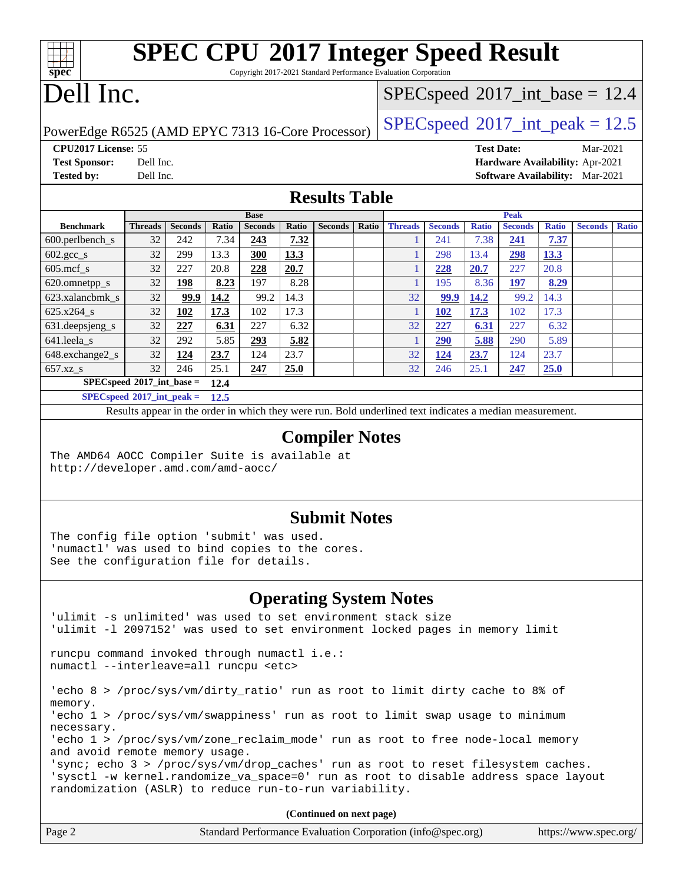Copyright 2017-2021 Standard Performance Evaluation Corporation

### Dell Inc.

**[spec](http://www.spec.org/)**

 $+\ +$ 

#### $SPECspeed^{\circledcirc}2017\_int\_base = 12.4$  $SPECspeed^{\circledcirc}2017\_int\_base = 12.4$

PowerEdge R6525 (AMD EPYC 7313 16-Core Processor) [SPECspeed](http://www.spec.org/auto/cpu2017/Docs/result-fields.html#SPECspeed2017intpeak)®2017\_int\_peak =  $12.5$ 

**[CPU2017 License:](http://www.spec.org/auto/cpu2017/Docs/result-fields.html#CPU2017License)** 55 **[Test Date:](http://www.spec.org/auto/cpu2017/Docs/result-fields.html#TestDate)** Mar-2021 **[Test Sponsor:](http://www.spec.org/auto/cpu2017/Docs/result-fields.html#TestSponsor)** Dell Inc. **[Hardware Availability:](http://www.spec.org/auto/cpu2017/Docs/result-fields.html#HardwareAvailability)** Apr-2021

**[Tested by:](http://www.spec.org/auto/cpu2017/Docs/result-fields.html#Testedby)** Dell Inc. **[Software Availability:](http://www.spec.org/auto/cpu2017/Docs/result-fields.html#SoftwareAvailability)** Mar-2021

**[Results Table](http://www.spec.org/auto/cpu2017/Docs/result-fields.html#ResultsTable)**

|                                      | <b>Base</b>    |                |       |                | <b>Peak</b> |                |       |                |                |              |                |              |                |              |
|--------------------------------------|----------------|----------------|-------|----------------|-------------|----------------|-------|----------------|----------------|--------------|----------------|--------------|----------------|--------------|
| <b>Benchmark</b>                     | <b>Threads</b> | <b>Seconds</b> | Ratio | <b>Seconds</b> | Ratio       | <b>Seconds</b> | Ratio | <b>Threads</b> | <b>Seconds</b> | <b>Ratio</b> | <b>Seconds</b> | <b>Ratio</b> | <b>Seconds</b> | <b>Ratio</b> |
| $600.$ perlbench $\mathsf{S}$        | 32             | 242            | 7.34  | 243            | 7.32        |                |       |                | 241            | 7.38         | 241            | 7.37         |                |              |
| $602 \text{.} \text{gcc}\text{_<}$ s | 32             | 299            | 13.3  | <b>300</b>     | 13.3        |                |       |                | 298            | 13.4         | <u>298</u>     | 13.3         |                |              |
| $605$ .mcf s                         | 32             | 227            | 20.8  | 228            | 20.7        |                |       |                | 228            | 20.7         | 227            | 20.8         |                |              |
| 620.omnetpp_s                        | 32             | 198            | 8.23  | 197            | 8.28        |                |       |                | 195            | 8.36         | 197            | 8.29         |                |              |
| 623.xalancbmk s                      | 32             | 99.9           | 14.2  | 99.2           | 14.3        |                |       | 32             | 99.9           | 14.2         | 99.2           | 14.3         |                |              |
| 625.x264 s                           | 32             | 102            | 17.3  | 102            | 17.3        |                |       |                | 102            | 17.3         | 102            | 17.3         |                |              |
| $631.$ deepsjeng $s$                 | 32             | 227            | 6.31  | 227            | 6.32        |                |       | 32             | 227            | 6.31         | 227            | 6.32         |                |              |
| 641.leela s                          | 32             | 292            | 5.85  | 293            | 5.82        |                |       |                | 290            | 5.88         | 290            | 5.89         |                |              |
| 648.exchange2_s                      | 32             | 124            | 23.7  | 124            | 23.7        |                |       | 32             | <u>124</u>     | 23.7         | 124            | 23.7         |                |              |
| $657.xz$ <sub>S</sub>                | 32             | 246            | 25.1  | 247            | 25.0        |                |       | 32             | 246            | 25.1         | 247            | 25.0         |                |              |
| $SPECspeed*2017$ int base =          |                |                | 12.4  |                |             |                |       |                |                |              |                |              |                |              |
| $SPEC speed*2017\_int\_peak =$       |                |                | 12.5  |                |             |                |       |                |                |              |                |              |                |              |

Results appear in the [order in which they were run.](http://www.spec.org/auto/cpu2017/Docs/result-fields.html#RunOrder) Bold underlined text [indicates a median measurement.](http://www.spec.org/auto/cpu2017/Docs/result-fields.html#Median)

#### **[Compiler Notes](http://www.spec.org/auto/cpu2017/Docs/result-fields.html#CompilerNotes)**

The AMD64 AOCC Compiler Suite is available at <http://developer.amd.com/amd-aocc/>

#### **[Submit Notes](http://www.spec.org/auto/cpu2017/Docs/result-fields.html#SubmitNotes)**

The config file option 'submit' was used. 'numactl' was used to bind copies to the cores. See the configuration file for details.

#### **[Operating System Notes](http://www.spec.org/auto/cpu2017/Docs/result-fields.html#OperatingSystemNotes)**

'ulimit -s unlimited' was used to set environment stack size 'ulimit -l 2097152' was used to set environment locked pages in memory limit runcpu command invoked through numactl i.e.: numactl --interleave=all runcpu <etc> 'echo 8 > /proc/sys/vm/dirty\_ratio' run as root to limit dirty cache to 8% of memory. 'echo 1 > /proc/sys/vm/swappiness' run as root to limit swap usage to minimum necessary. 'echo 1 > /proc/sys/vm/zone\_reclaim\_mode' run as root to free node-local memory and avoid remote memory usage. 'sync; echo 3 > /proc/sys/vm/drop\_caches' run as root to reset filesystem caches. 'sysctl -w kernel.randomize\_va\_space=0' run as root to disable address space layout randomization (ASLR) to reduce run-to-run variability.

| Page 2 | Standard Performance Evaluation Corporation (info@spec.org) | https://www.spec.org/ |
|--------|-------------------------------------------------------------|-----------------------|
|--------|-------------------------------------------------------------|-----------------------|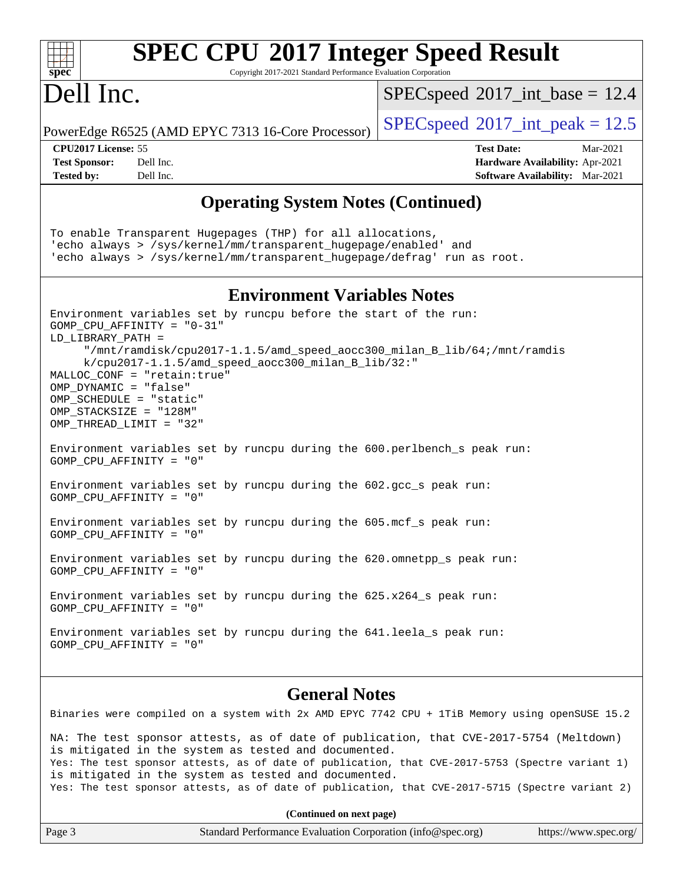#### **[spec](http://www.spec.org/) [SPEC CPU](http://www.spec.org/auto/cpu2017/Docs/result-fields.html#SPECCPU2017IntegerSpeedResult)[2017 Integer Speed Result](http://www.spec.org/auto/cpu2017/Docs/result-fields.html#SPECCPU2017IntegerSpeedResult)** Copyright 2017-2021 Standard Performance Evaluation Corporation Dell Inc. PowerEdge R6525 (AMD EPYC 7313 16-Core Processor) [SPECspeed](http://www.spec.org/auto/cpu2017/Docs/result-fields.html#SPECspeed2017intpeak)®2017\_int\_peak =  $12.5$  $SPECspeed^{\circledcirc}2017\_int\_base = 12.4$  $SPECspeed^{\circledcirc}2017\_int\_base = 12.4$ **[CPU2017 License:](http://www.spec.org/auto/cpu2017/Docs/result-fields.html#CPU2017License)** 55 **[Test Date:](http://www.spec.org/auto/cpu2017/Docs/result-fields.html#TestDate)** Mar-2021 **[Test Sponsor:](http://www.spec.org/auto/cpu2017/Docs/result-fields.html#TestSponsor)** Dell Inc. **[Hardware Availability:](http://www.spec.org/auto/cpu2017/Docs/result-fields.html#HardwareAvailability)** Apr-2021 **[Tested by:](http://www.spec.org/auto/cpu2017/Docs/result-fields.html#Testedby)** Dell Inc. **[Software Availability:](http://www.spec.org/auto/cpu2017/Docs/result-fields.html#SoftwareAvailability)** Mar-2021 **[Operating System Notes \(Continued\)](http://www.spec.org/auto/cpu2017/Docs/result-fields.html#OperatingSystemNotes)** To enable Transparent Hugepages (THP) for all allocations, 'echo always > /sys/kernel/mm/transparent\_hugepage/enabled' and 'echo always > /sys/kernel/mm/transparent\_hugepage/defrag' run as root. **[Environment Variables Notes](http://www.spec.org/auto/cpu2017/Docs/result-fields.html#EnvironmentVariablesNotes)** Environment variables set by runcpu before the start of the run: GOMP\_CPU\_AFFINITY = "0-31" LD\_LIBRARY\_PATH = "/mnt/ramdisk/cpu2017-1.1.5/amd\_speed\_aocc300\_milan\_B\_lib/64;/mnt/ramdis k/cpu2017-1.1.5/amd\_speed\_aocc300\_milan\_B\_lib/32:" MALLOC\_CONF = "retain:true" OMP\_DYNAMIC = "false" OMP\_SCHEDULE = "static" OMP\_STACKSIZE = "128M" OMP\_THREAD\_LIMIT = "32" Environment variables set by runcpu during the 600.perlbench\_s peak run: GOMP\_CPU\_AFFINITY = "0" Environment variables set by runcpu during the 602.gcc\_s peak run: GOMP\_CPU\_AFFINITY = "0" Environment variables set by runcpu during the 605.mcf\_s peak run: GOMP\_CPU\_AFFINITY = "0" Environment variables set by runcpu during the 620.omnetpp s peak run: GOMP\_CPU\_AFFINITY = "0" Environment variables set by runcpu during the  $625.x264$  s peak run: GOMP\_CPU\_AFFINITY = "0" Environment variables set by runcpu during the 641.leela\_s peak run: GOMP\_CPU\_AFFINITY = "0" **[General Notes](http://www.spec.org/auto/cpu2017/Docs/result-fields.html#GeneralNotes)**

Binaries were compiled on a system with 2x AMD EPYC 7742 CPU + 1TiB Memory using openSUSE 15.2 NA: The test sponsor attests, as of date of publication, that CVE-2017-5754 (Meltdown) is mitigated in the system as tested and documented. Yes: The test sponsor attests, as of date of publication, that CVE-2017-5753 (Spectre variant 1) is mitigated in the system as tested and documented. Yes: The test sponsor attests, as of date of publication, that CVE-2017-5715 (Spectre variant 2)

| Page 3 | Standard Performance Evaluation Corporation (info@spec.org) | https://www.spec.org/ |
|--------|-------------------------------------------------------------|-----------------------|
|--------|-------------------------------------------------------------|-----------------------|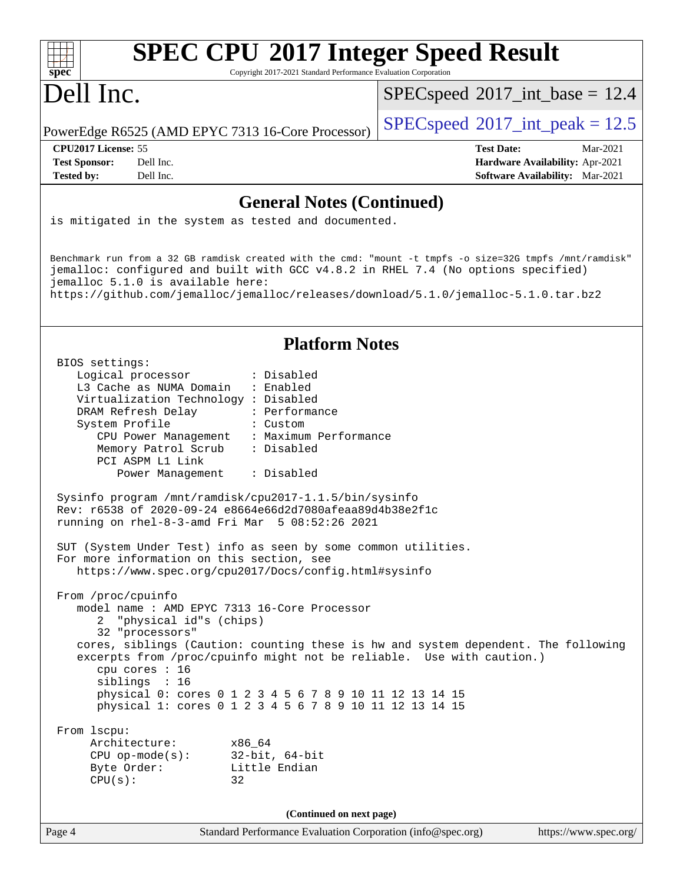| <b>SPEC CPU®2017 Integer Speed Result</b><br>spec <sup>®</sup><br>Copyright 2017-2021 Standard Performance Evaluation Corporation                                                                                                                                                                                         |                                                                    |
|---------------------------------------------------------------------------------------------------------------------------------------------------------------------------------------------------------------------------------------------------------------------------------------------------------------------------|--------------------------------------------------------------------|
| Dell Inc.                                                                                                                                                                                                                                                                                                                 | $SPEC speed^{\circ}2017\_int\_base = 12.4$                         |
| PowerEdge R6525 (AMD EPYC 7313 16-Core Processor)                                                                                                                                                                                                                                                                         | $SPEC speed^{\circ}2017\_int\_peak = 12.5$                         |
| CPU2017 License: 55                                                                                                                                                                                                                                                                                                       | <b>Test Date:</b><br>Mar-2021                                      |
| Dell Inc.<br><b>Test Sponsor:</b><br>Dell Inc.<br><b>Tested by:</b>                                                                                                                                                                                                                                                       | Hardware Availability: Apr-2021<br>Software Availability: Mar-2021 |
|                                                                                                                                                                                                                                                                                                                           |                                                                    |
| <b>General Notes (Continued)</b>                                                                                                                                                                                                                                                                                          |                                                                    |
| is mitigated in the system as tested and documented.                                                                                                                                                                                                                                                                      |                                                                    |
| Benchmark run from a 32 GB ramdisk created with the cmd: "mount -t tmpfs -o size=32G tmpfs /mnt/ramdisk"<br>jemalloc: configured and built with GCC v4.8.2 in RHEL 7.4 (No options specified)<br>jemalloc 5.1.0 is available here:<br>https://github.com/jemalloc/jemalloc/releases/download/5.1.0/jemalloc-5.1.0.tar.bz2 |                                                                    |
| <b>Platform Notes</b>                                                                                                                                                                                                                                                                                                     |                                                                    |
| BIOS settings:                                                                                                                                                                                                                                                                                                            |                                                                    |
| Logical processor<br>: Disabled<br>: Enabled                                                                                                                                                                                                                                                                              |                                                                    |
| L3 Cache as NUMA Domain<br>Virtualization Technology : Disabled                                                                                                                                                                                                                                                           |                                                                    |
| DRAM Refresh Delay<br>: Performance                                                                                                                                                                                                                                                                                       |                                                                    |
| System Profile<br>: Custom<br>: Maximum Performance                                                                                                                                                                                                                                                                       |                                                                    |
| CPU Power Management<br>: Disabled<br>Memory Patrol Scrub                                                                                                                                                                                                                                                                 |                                                                    |
| PCI ASPM L1 Link                                                                                                                                                                                                                                                                                                          |                                                                    |
| : Disabled<br>Power Management                                                                                                                                                                                                                                                                                            |                                                                    |
| Sysinfo program /mnt/ramdisk/cpu2017-1.1.5/bin/sysinfo<br>Rev: r6538 of 2020-09-24 e8664e66d2d7080afeaa89d4b38e2f1c<br>running on rhel-8-3-amd Fri Mar $5\,08:52:26\,2021$                                                                                                                                                |                                                                    |
| SUT (System Under Test) info as seen by some common utilities.                                                                                                                                                                                                                                                            |                                                                    |
| For more information on this section, see<br>https://www.spec.org/cpu2017/Docs/config.html#sysinfo                                                                                                                                                                                                                        |                                                                    |
|                                                                                                                                                                                                                                                                                                                           |                                                                    |
| From /proc/cpuinfo<br>model name: AMD EPYC 7313 16-Core Processor                                                                                                                                                                                                                                                         |                                                                    |
| "physical id"s (chips)<br>2                                                                                                                                                                                                                                                                                               |                                                                    |
| 32 "processors"                                                                                                                                                                                                                                                                                                           |                                                                    |
| cores, siblings (Caution: counting these is hw and system dependent. The following<br>excerpts from /proc/cpuinfo might not be reliable. Use with caution.)<br>cpu cores : 16<br>siblings : 16                                                                                                                            |                                                                    |
| physical 0: cores 0 1 2 3 4 5 6 7 8 9 10 11 12 13 14 15                                                                                                                                                                                                                                                                   |                                                                    |
| physical 1: cores 0 1 2 3 4 5 6 7 8 9 10 11 12 13 14 15                                                                                                                                                                                                                                                                   |                                                                    |
| From 1scpu:                                                                                                                                                                                                                                                                                                               |                                                                    |
| Architecture:<br>x86_64                                                                                                                                                                                                                                                                                                   |                                                                    |
| 32-bit, 64-bit<br>$CPU op-mode(s):$<br>Byte Order:<br>Little Endian                                                                                                                                                                                                                                                       |                                                                    |
| CPU(s):<br>32                                                                                                                                                                                                                                                                                                             |                                                                    |
|                                                                                                                                                                                                                                                                                                                           |                                                                    |
| (Continued on next page)                                                                                                                                                                                                                                                                                                  |                                                                    |
| Page 4<br>Standard Performance Evaluation Corporation (info@spec.org)                                                                                                                                                                                                                                                     | https://www.spec.org/                                              |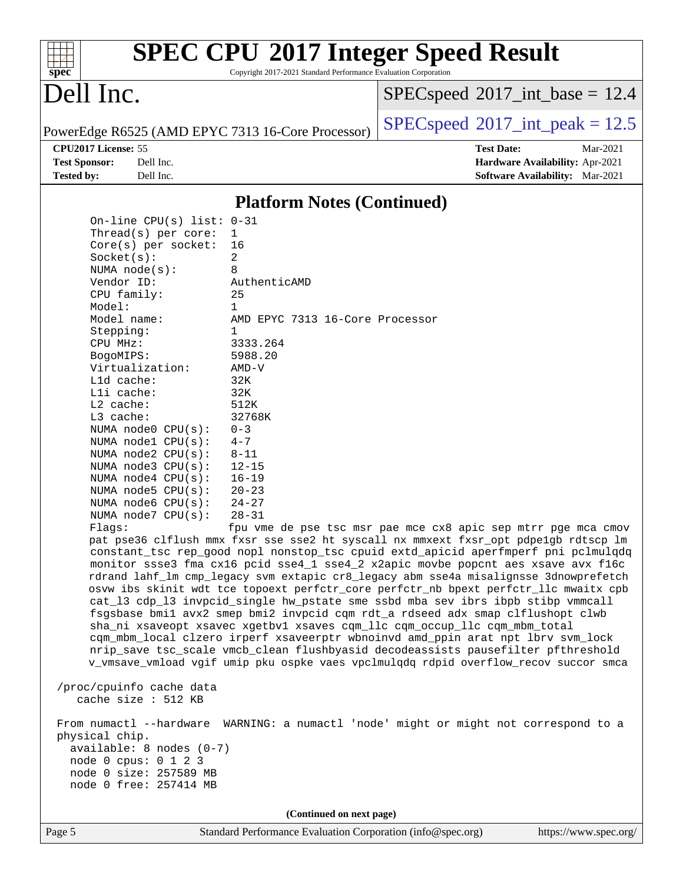#### $+\ +$ **[spec](http://www.spec.org/)**

# **[SPEC CPU](http://www.spec.org/auto/cpu2017/Docs/result-fields.html#SPECCPU2017IntegerSpeedResult)[2017 Integer Speed Result](http://www.spec.org/auto/cpu2017/Docs/result-fields.html#SPECCPU2017IntegerSpeedResult)**

Copyright 2017-2021 Standard Performance Evaluation Corporation

### Dell Inc.

 $SPECspeed^{\circ}2017\_int\_base = 12.4$  $SPECspeed^{\circ}2017\_int\_base = 12.4$ 

PowerEdge R6525 (AMD EPYC 7313 16-Core Processor)  $\left|$  [SPECspeed](http://www.spec.org/auto/cpu2017/Docs/result-fields.html#SPECspeed2017intpeak)®[2017\\_int\\_peak = 1](http://www.spec.org/auto/cpu2017/Docs/result-fields.html#SPECspeed2017intpeak)2.5

**[CPU2017 License:](http://www.spec.org/auto/cpu2017/Docs/result-fields.html#CPU2017License)** 55 **[Test Date:](http://www.spec.org/auto/cpu2017/Docs/result-fields.html#TestDate)** Mar-2021 **[Test Sponsor:](http://www.spec.org/auto/cpu2017/Docs/result-fields.html#TestSponsor)** Dell Inc. **[Hardware Availability:](http://www.spec.org/auto/cpu2017/Docs/result-fields.html#HardwareAvailability)** Apr-2021 **[Tested by:](http://www.spec.org/auto/cpu2017/Docs/result-fields.html#Testedby)** Dell Inc. **[Software Availability:](http://www.spec.org/auto/cpu2017/Docs/result-fields.html#SoftwareAvailability)** Mar-2021

#### **[Platform Notes \(Continued\)](http://www.spec.org/auto/cpu2017/Docs/result-fields.html#PlatformNotes)**

| On-line CPU(s) list: $0-31$                                 |                                      |  |  |  |  |  |
|-------------------------------------------------------------|--------------------------------------|--|--|--|--|--|
| $Thread(s)$ per core:                                       | $\overline{1}$                       |  |  |  |  |  |
| $Core(s)$ per socket: 16                                    |                                      |  |  |  |  |  |
| Socket(s):                                                  | $\mathfrak{D}$                       |  |  |  |  |  |
| NUMA node(s):                                               | 8                                    |  |  |  |  |  |
| Vendor ID:                                                  | AuthenticAMD                         |  |  |  |  |  |
| CPU family:                                                 | 25                                   |  |  |  |  |  |
| Model:                                                      | $\mathbf{1}$                         |  |  |  |  |  |
| Model name:                                                 | AMD EPYC 7313 16-Core Processor      |  |  |  |  |  |
| Stepping:                                                   | $\mathbf{1}$                         |  |  |  |  |  |
| CPU MHz:                                                    | 3333.264                             |  |  |  |  |  |
| BogoMIPS:                                                   | 5988.20                              |  |  |  |  |  |
| Virtualization:                                             | AMD-V                                |  |  |  |  |  |
| $L1d$ cache:                                                | 32K                                  |  |  |  |  |  |
| $L1i$ cache:                                                | 32K                                  |  |  |  |  |  |
| $L2$ cache:                                                 | 512K                                 |  |  |  |  |  |
| $L3$ cache:                                                 | 32768K                               |  |  |  |  |  |
| NUMA $node0$ $CPU(s): 0-3$                                  |                                      |  |  |  |  |  |
| NUMA nodel $CPU(s): 4-7$                                    |                                      |  |  |  |  |  |
| NUMA $node2$ CPU $(s): 8-11$                                |                                      |  |  |  |  |  |
| NUMA node3 $CPU(s): 12-15$                                  |                                      |  |  |  |  |  |
| NUMA node4 $CPU(s): 16-19$                                  |                                      |  |  |  |  |  |
| NUMA node5 $CPU(s): 20-23$                                  |                                      |  |  |  |  |  |
| NUMA node6 $CPU(s): 24-27$                                  |                                      |  |  |  |  |  |
| NUMA $node7$ CPU $(s):$ 28-31                               |                                      |  |  |  |  |  |
| $\mathbf{E} \cdot \mathbf{E} = \mathbf{E} \cdot \mathbf{E}$ | fair can a da cana ban mari cana mar |  |  |  |  |  |

Flags: fpu vme de pse tsc msr pae mce cx8 apic sep mtrr pge mca cmov pat pse36 clflush mmx fxsr sse sse2 ht syscall nx mmxext fxsr\_opt pdpe1gb rdtscp lm constant\_tsc rep\_good nopl nonstop\_tsc cpuid extd\_apicid aperfmperf pni pclmulqdq monitor ssse3 fma cx16 pcid sse4\_1 sse4\_2 x2apic movbe popcnt aes xsave avx f16c rdrand lahf\_lm cmp\_legacy svm extapic cr8\_legacy abm sse4a misalignsse 3dnowprefetch osvw ibs skinit wdt tce topoext perfctr\_core perfctr\_nb bpext perfctr\_llc mwaitx cpb cat\_l3 cdp\_l3 invpcid\_single hw\_pstate sme ssbd mba sev ibrs ibpb stibp vmmcall fsgsbase bmi1 avx2 smep bmi2 invpcid cqm rdt\_a rdseed adx smap clflushopt clwb sha\_ni xsaveopt xsavec xgetbv1 xsaves cqm\_llc cqm\_occup\_llc cqm\_mbm\_total cqm\_mbm\_local clzero irperf xsaveerptr wbnoinvd amd\_ppin arat npt lbrv svm\_lock nrip\_save tsc\_scale vmcb\_clean flushbyasid decodeassists pausefilter pfthreshold v\_vmsave\_vmload vgif umip pku ospke vaes vpclmulqdq rdpid overflow\_recov succor smca

 /proc/cpuinfo cache data cache size : 512 KB

 From numactl --hardware WARNING: a numactl 'node' might or might not correspond to a physical chip. available: 8 nodes (0-7) node 0 cpus: 0 1 2 3

 node 0 size: 257589 MB node 0 free: 257414 MB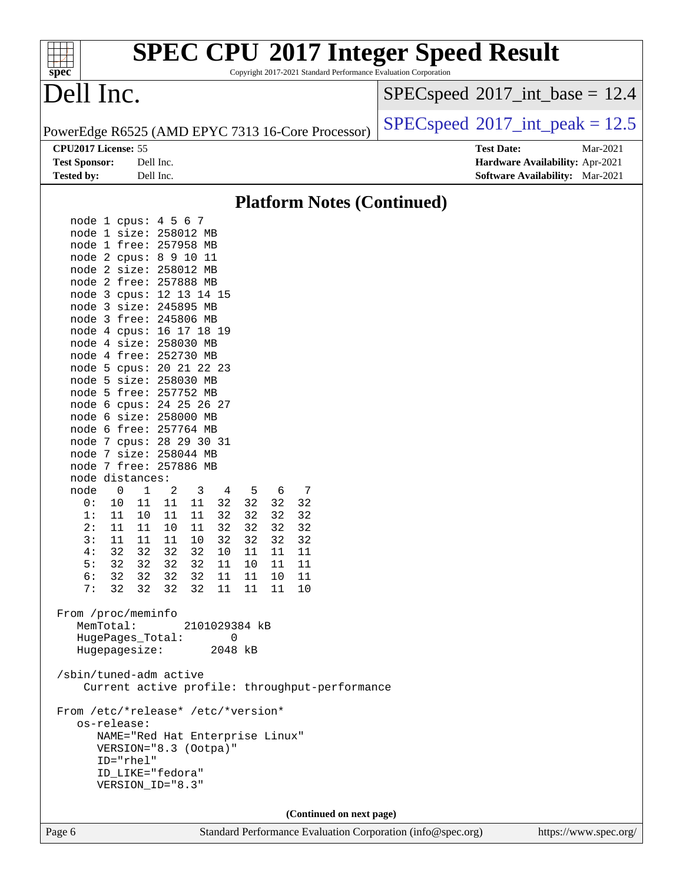| <b>SPEC CPU®2017 Integer Speed Result</b><br>Copyright 2017-2021 Standard Performance Evaluation Corporation<br>spec <sup>®</sup> |                                                                  |
|-----------------------------------------------------------------------------------------------------------------------------------|------------------------------------------------------------------|
| Dell Inc.                                                                                                                         | $SPEC speed^{\circ}2017\_int\_base = 12.4$                       |
| PowerEdge R6525 (AMD EPYC 7313 16-Core Processor)                                                                                 | $SPEC speed^{\circ}2017\_int\_peak = 12.5$                       |
| CPU2017 License: 55<br><b>Test Sponsor:</b><br>Dell Inc.                                                                          | <b>Test Date:</b><br>Mar-2021<br>Hardware Availability: Apr-2021 |
| <b>Tested by:</b><br>Dell Inc.                                                                                                    | Software Availability: Mar-2021                                  |
| <b>Platform Notes (Continued)</b>                                                                                                 |                                                                  |
| node 1 cpus: 4 5 6 7<br>node 1 size: 258012 MB                                                                                    |                                                                  |
| node 1 free: 257958 MB                                                                                                            |                                                                  |
| node 2 cpus: 8 9 10 11                                                                                                            |                                                                  |
| node 2 size: 258012 MB                                                                                                            |                                                                  |
| node 2 free: 257888 MB                                                                                                            |                                                                  |
| node 3 cpus: 12 13 14 15                                                                                                          |                                                                  |
| node 3 size: 245895 MB                                                                                                            |                                                                  |
| node 3 free: 245806 MB                                                                                                            |                                                                  |
| node 4 cpus: 16 17 18 19                                                                                                          |                                                                  |
| node 4 size: 258030 MB<br>node 4 free: 252730 MB                                                                                  |                                                                  |
| node 5 cpus: 20 21 22 23                                                                                                          |                                                                  |
| node 5 size: 258030 MB                                                                                                            |                                                                  |
| node 5 free: 257752 MB                                                                                                            |                                                                  |
| node 6 cpus: 24 25 26 27                                                                                                          |                                                                  |
| node 6 size: 258000 MB                                                                                                            |                                                                  |
| node 6 free: 257764 MB                                                                                                            |                                                                  |
| node 7 cpus: 28 29 30 31                                                                                                          |                                                                  |
| node 7 size: 258044 MB<br>node 7 free: 257886 MB                                                                                  |                                                                  |
| node distances:                                                                                                                   |                                                                  |
| node<br>0<br>1<br>2<br>3<br>-5<br>6<br>7<br>4                                                                                     |                                                                  |
| 11<br>32<br>32<br>32<br>0:<br>10<br>11<br>11<br>32                                                                                |                                                                  |
| 32<br>32<br>32<br>32<br>1:<br>11<br>11<br>11<br>10                                                                                |                                                                  |
| 32<br>2:<br>11<br>32<br>32<br>32<br>11<br>10<br>11                                                                                |                                                                  |
| 32<br>32<br>32<br>32<br>3:<br>11<br>11<br>10<br>11                                                                                |                                                                  |
| 32<br>32<br>4 :<br>32<br>32<br>$10\,$<br>11<br>11<br>11<br>5:<br>32<br>32 32<br>32<br>11<br>11<br>10<br>11                        |                                                                  |
| 32<br>6:<br>32<br>32<br>32<br>11<br>10<br>11<br>11                                                                                |                                                                  |
| 7:<br>32<br>32<br>32<br>32<br>11<br>11<br>11<br>10                                                                                |                                                                  |
| From /proc/meminfo<br>MemTotal:<br>2101029384 kB                                                                                  |                                                                  |
| HugePages_Total:<br>0                                                                                                             |                                                                  |
| Hugepagesize:<br>2048 kB                                                                                                          |                                                                  |
| /sbin/tuned-adm active<br>Current active profile: throughput-performance                                                          |                                                                  |
| From /etc/*release* /etc/*version*                                                                                                |                                                                  |
| os-release:                                                                                                                       |                                                                  |
| NAME="Red Hat Enterprise Linux"                                                                                                   |                                                                  |
| VERSION="8.3 (Ootpa)"                                                                                                             |                                                                  |
| ID="rhel"                                                                                                                         |                                                                  |
| ID_LIKE="fedora"                                                                                                                  |                                                                  |
| VERSION_ID="8.3"                                                                                                                  |                                                                  |
| (Continued on next page)                                                                                                          |                                                                  |
| Standard Performance Evaluation Corporation (info@spec.org)<br>Page 6                                                             | https://www.spec.org/                                            |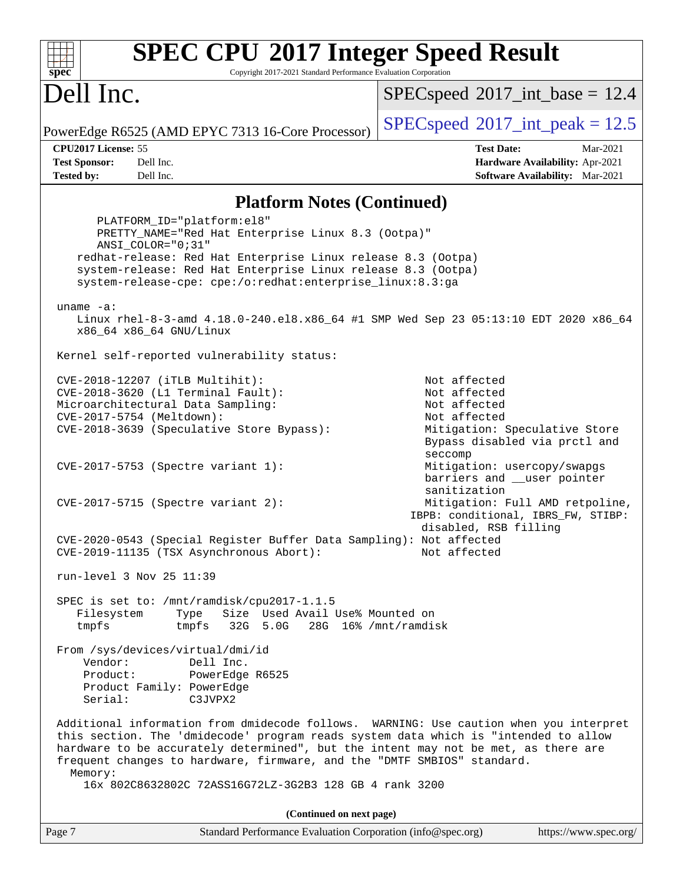| <b>SPEC CPU®2017 Integer Speed Result</b><br>spec <sup>®</sup><br>Copyright 2017-2021 Standard Performance Evaluation Corporation                                                                                                                                                                                                                         |                                                                                                                                                     |
|-----------------------------------------------------------------------------------------------------------------------------------------------------------------------------------------------------------------------------------------------------------------------------------------------------------------------------------------------------------|-----------------------------------------------------------------------------------------------------------------------------------------------------|
| Dell Inc.                                                                                                                                                                                                                                                                                                                                                 | $SPEC speed^{\circ}2017\_int\_base = 12.4$                                                                                                          |
| PowerEdge R6525 (AMD EPYC 7313 16-Core Processor)                                                                                                                                                                                                                                                                                                         | $SPEC speed^{\circ}2017\_int\_peak = 12.5$                                                                                                          |
| CPU2017 License: 55                                                                                                                                                                                                                                                                                                                                       | <b>Test Date:</b><br>Mar-2021                                                                                                                       |
| <b>Test Sponsor:</b><br>Dell Inc.<br><b>Tested by:</b><br>Dell Inc.                                                                                                                                                                                                                                                                                       | Hardware Availability: Apr-2021<br><b>Software Availability:</b> Mar-2021                                                                           |
| <b>Platform Notes (Continued)</b>                                                                                                                                                                                                                                                                                                                         |                                                                                                                                                     |
| PLATFORM_ID="platform:el8"<br>PRETTY_NAME="Red Hat Enterprise Linux 8.3 (Ootpa)"<br>$ANSI$ _COLOR=" $0:31$ "<br>redhat-release: Red Hat Enterprise Linux release 8.3 (Ootpa)<br>system-release: Red Hat Enterprise Linux release 8.3 (Ootpa)<br>system-release-cpe: cpe:/o:redhat:enterprise_linux:8.3:ga                                                 |                                                                                                                                                     |
| uname $-a$ :<br>Linux rhel-8-3-amd 4.18.0-240.el8.x86_64 #1 SMP Wed Sep 23 05:13:10 EDT 2020 x86_64<br>x86_64 x86_64 GNU/Linux                                                                                                                                                                                                                            |                                                                                                                                                     |
| Kernel self-reported vulnerability status:                                                                                                                                                                                                                                                                                                                |                                                                                                                                                     |
| CVE-2018-12207 (iTLB Multihit):<br>CVE-2018-3620 (L1 Terminal Fault):<br>Microarchitectural Data Sampling:<br>CVE-2017-5754 (Meltdown):<br>CVE-2018-3639 (Speculative Store Bypass):                                                                                                                                                                      | Not affected<br>Not affected<br>Not affected<br>Not affected<br>Mitigation: Speculative Store<br>Bypass disabled via prctl and<br>seccomp           |
| CVE-2017-5753 (Spectre variant 1):<br>$CVE-2017-5715$ (Spectre variant 2):                                                                                                                                                                                                                                                                                | Mitigation: usercopy/swapgs<br>barriers and __user pointer<br>sanitization<br>Mitigation: Full AMD retpoline,<br>IBPB: conditional, IBRS_FW, STIBP: |
| CVE-2020-0543 (Special Register Buffer Data Sampling): Not affected<br>CVE-2019-11135 (TSX Asynchronous Abort):                                                                                                                                                                                                                                           | disabled, RSB filling<br>Not affected                                                                                                               |
| run-level 3 Nov 25 11:39                                                                                                                                                                                                                                                                                                                                  |                                                                                                                                                     |
| SPEC is set to: /mnt/ramdisk/cpu2017-1.1.5<br>Filesystem<br>Type<br>Size Used Avail Use% Mounted on<br>tmpfs<br>tmpfs<br>32G 5.0G                                                                                                                                                                                                                         | 28G 16% / mnt/ramdisk                                                                                                                               |
| From /sys/devices/virtual/dmi/id<br>Vendor:<br>Dell Inc.<br>Product:<br>PowerEdge R6525<br>Product Family: PowerEdge<br>Serial:<br>C3JVPX2                                                                                                                                                                                                                |                                                                                                                                                     |
| Additional information from dmidecode follows. WARNING: Use caution when you interpret<br>this section. The 'dmidecode' program reads system data which is "intended to allow<br>hardware to be accurately determined", but the intent may not be met, as there are<br>frequent changes to hardware, firmware, and the "DMTF SMBIOS" standard.<br>Memory: |                                                                                                                                                     |
| 16x 802C8632802C 72ASS16G72LZ-3G2B3 128 GB 4 rank 3200                                                                                                                                                                                                                                                                                                    |                                                                                                                                                     |
| (Continued on next page)                                                                                                                                                                                                                                                                                                                                  |                                                                                                                                                     |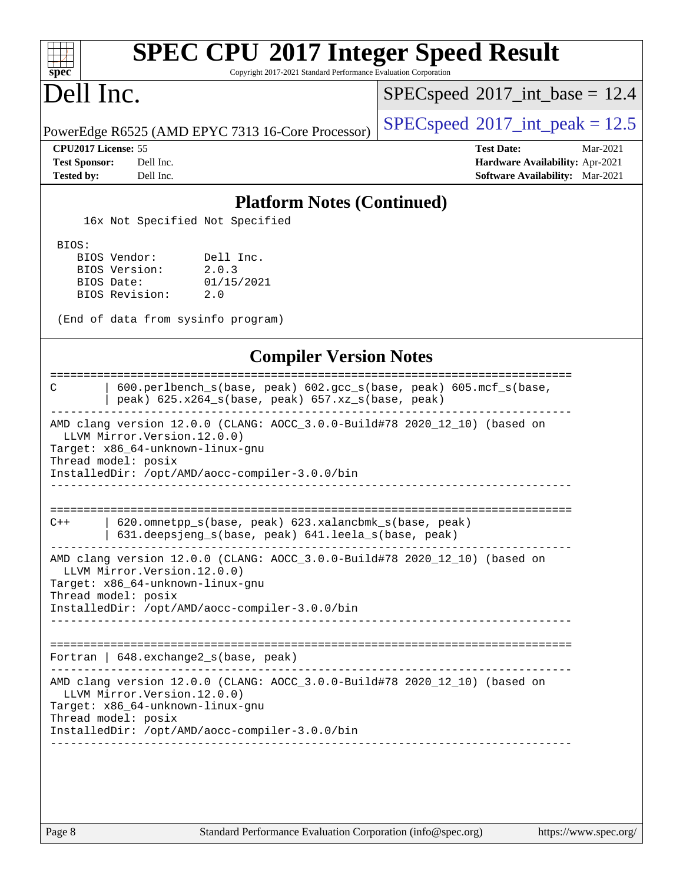| Dell Inc.                                                                                                                                                                                                                | $SPEC speed^{\circ}2017\_int\_base = 12.4$                                                          |
|--------------------------------------------------------------------------------------------------------------------------------------------------------------------------------------------------------------------------|-----------------------------------------------------------------------------------------------------|
| PowerEdge R6525 (AMD EPYC 7313 16-Core Processor)                                                                                                                                                                        | $SPEC speed^{\circ}2017\_int\_peak = 12.5$                                                          |
| CPU2017 License: 55<br><b>Test Sponsor:</b><br>Dell Inc.<br><b>Tested by:</b><br>Dell Inc.                                                                                                                               | <b>Test Date:</b><br>Mar-2021<br>Hardware Availability: Apr-2021<br>Software Availability: Mar-2021 |
| <b>Platform Notes (Continued)</b>                                                                                                                                                                                        |                                                                                                     |
| 16x Not Specified Not Specified                                                                                                                                                                                          |                                                                                                     |
| BIOS:<br>Dell Inc.<br>BIOS Vendor:<br>BIOS Version:<br>2.0.3<br>BIOS Date:<br>01/15/2021<br>BIOS Revision:<br>2.0<br>(End of data from sysinfo program)                                                                  |                                                                                                     |
| <b>Compiler Version Notes</b>                                                                                                                                                                                            |                                                                                                     |
| 600.perlbench_s(base, peak) 602.gcc_s(base, peak) 605.mcf_s(base,<br>C<br>peak) 625.x264_s(base, peak) 657.xz_s(base, peak)                                                                                              | -------------------------------------                                                               |
| AMD clang version 12.0.0 (CLANG: AOCC_3.0.0-Build#78 2020_12_10) (based on<br>LLVM Mirror. Version. 12.0.0)<br>Target: x86_64-unknown-linux-gnu<br>Thread model: posix<br>InstalledDir: /opt/AMD/aocc-compiler-3.0.0/bin |                                                                                                     |
| 620.omnetpp_s(base, peak) 623.xalancbmk_s(base, peak)<br>$C++$<br>631.deepsjeng_s(base, peak) 641.leela_s(base, peak)                                                                                                    |                                                                                                     |
| AMD clang version 12.0.0 (CLANG: AOCC_3.0.0-Build#78 2020_12_10) (based on<br>LLVM Mirror. Version. 12.0.0)<br>Target: x86_64-unknown-linux-gnu<br>Thread model: posix                                                   |                                                                                                     |
| InstalledDir: /opt/AMD/aocc-compiler-3.0.0/bin                                                                                                                                                                           | ---------------------------------                                                                   |
| Fortran   648. exchange2_s(base, peak)                                                                                                                                                                                   |                                                                                                     |
| AMD clang version 12.0.0 (CLANG: AOCC_3.0.0-Build#78 2020_12_10) (based on<br>LLVM Mirror. Version. 12.0.0)                                                                                                              |                                                                                                     |
| Target: x86_64-unknown-linux-gnu<br>Thread model: posix                                                                                                                                                                  |                                                                                                     |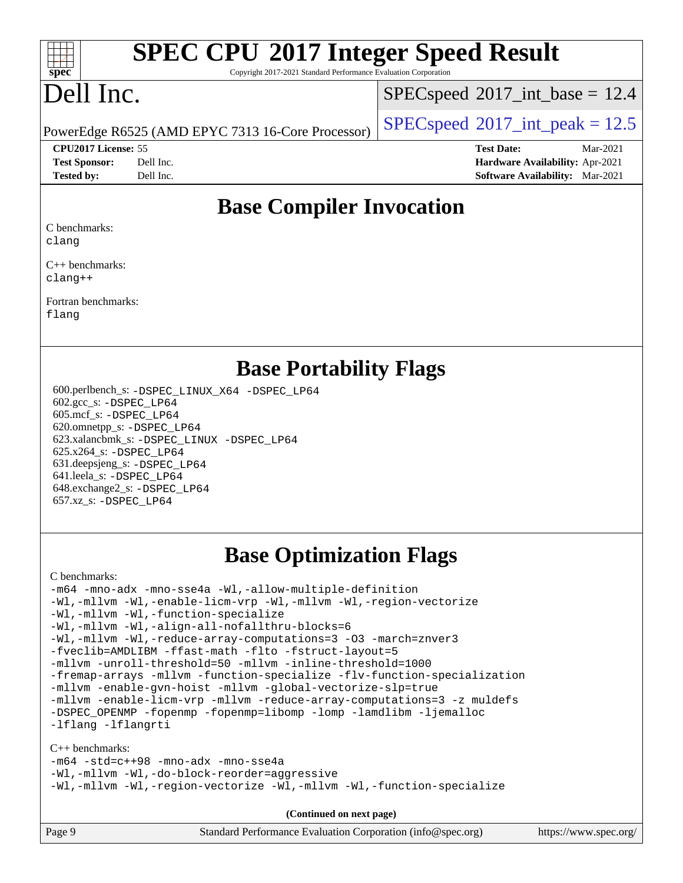| s<br>c | п<br>I | æ | C |  |
|--------|--------|---|---|--|

Copyright 2017-2021 Standard Performance Evaluation Corporation

## Dell Inc.

 $SPECspeed^{\circ}2017\_int\_base = 12.4$  $SPECspeed^{\circ}2017\_int\_base = 12.4$ 

PowerEdge R6525 (AMD EPYC 7313 16-Core Processor)  $\left|$  [SPECspeed](http://www.spec.org/auto/cpu2017/Docs/result-fields.html#SPECspeed2017intpeak)®[2017\\_int\\_peak = 1](http://www.spec.org/auto/cpu2017/Docs/result-fields.html#SPECspeed2017intpeak)2.5

**[CPU2017 License:](http://www.spec.org/auto/cpu2017/Docs/result-fields.html#CPU2017License)** 55 **[Test Date:](http://www.spec.org/auto/cpu2017/Docs/result-fields.html#TestDate)** Mar-2021 **[Test Sponsor:](http://www.spec.org/auto/cpu2017/Docs/result-fields.html#TestSponsor)** Dell Inc. **[Hardware Availability:](http://www.spec.org/auto/cpu2017/Docs/result-fields.html#HardwareAvailability)** Apr-2021 **[Tested by:](http://www.spec.org/auto/cpu2017/Docs/result-fields.html#Testedby)** Dell Inc. **[Software Availability:](http://www.spec.org/auto/cpu2017/Docs/result-fields.html#SoftwareAvailability)** Mar-2021

#### **[Base Compiler Invocation](http://www.spec.org/auto/cpu2017/Docs/result-fields.html#BaseCompilerInvocation)**

[C benchmarks:](http://www.spec.org/auto/cpu2017/Docs/result-fields.html#Cbenchmarks)

[clang](http://www.spec.org/cpu2017/results/res2021q1/cpu2017-20210315-25315.flags.html#user_CCbase_clang-c)

[C++ benchmarks](http://www.spec.org/auto/cpu2017/Docs/result-fields.html#CXXbenchmarks): [clang++](http://www.spec.org/cpu2017/results/res2021q1/cpu2017-20210315-25315.flags.html#user_CXXbase_clang-cpp)

[Fortran benchmarks:](http://www.spec.org/auto/cpu2017/Docs/result-fields.html#Fortranbenchmarks)

[flang](http://www.spec.org/cpu2017/results/res2021q1/cpu2017-20210315-25315.flags.html#user_FCbase_flang)

#### **[Base Portability Flags](http://www.spec.org/auto/cpu2017/Docs/result-fields.html#BasePortabilityFlags)**

 600.perlbench\_s: [-DSPEC\\_LINUX\\_X64](http://www.spec.org/cpu2017/results/res2021q1/cpu2017-20210315-25315.flags.html#b600.perlbench_s_basePORTABILITY_DSPEC_LINUX_X64) [-DSPEC\\_LP64](http://www.spec.org/cpu2017/results/res2021q1/cpu2017-20210315-25315.flags.html#b600.perlbench_s_baseEXTRA_PORTABILITY_DSPEC_LP64) 602.gcc\_s: [-DSPEC\\_LP64](http://www.spec.org/cpu2017/results/res2021q1/cpu2017-20210315-25315.flags.html#suite_baseEXTRA_PORTABILITY602_gcc_s_DSPEC_LP64) 605.mcf\_s: [-DSPEC\\_LP64](http://www.spec.org/cpu2017/results/res2021q1/cpu2017-20210315-25315.flags.html#suite_baseEXTRA_PORTABILITY605_mcf_s_DSPEC_LP64) 620.omnetpp\_s: [-DSPEC\\_LP64](http://www.spec.org/cpu2017/results/res2021q1/cpu2017-20210315-25315.flags.html#suite_baseEXTRA_PORTABILITY620_omnetpp_s_DSPEC_LP64) 623.xalancbmk\_s: [-DSPEC\\_LINUX](http://www.spec.org/cpu2017/results/res2021q1/cpu2017-20210315-25315.flags.html#b623.xalancbmk_s_basePORTABILITY_DSPEC_LINUX) [-DSPEC\\_LP64](http://www.spec.org/cpu2017/results/res2021q1/cpu2017-20210315-25315.flags.html#suite_baseEXTRA_PORTABILITY623_xalancbmk_s_DSPEC_LP64) 625.x264\_s: [-DSPEC\\_LP64](http://www.spec.org/cpu2017/results/res2021q1/cpu2017-20210315-25315.flags.html#suite_baseEXTRA_PORTABILITY625_x264_s_DSPEC_LP64) 631.deepsjeng\_s: [-DSPEC\\_LP64](http://www.spec.org/cpu2017/results/res2021q1/cpu2017-20210315-25315.flags.html#suite_baseEXTRA_PORTABILITY631_deepsjeng_s_DSPEC_LP64) 641.leela\_s: [-DSPEC\\_LP64](http://www.spec.org/cpu2017/results/res2021q1/cpu2017-20210315-25315.flags.html#suite_baseEXTRA_PORTABILITY641_leela_s_DSPEC_LP64) 648.exchange2\_s: [-DSPEC\\_LP64](http://www.spec.org/cpu2017/results/res2021q1/cpu2017-20210315-25315.flags.html#suite_baseEXTRA_PORTABILITY648_exchange2_s_DSPEC_LP64) 657.xz\_s: [-DSPEC\\_LP64](http://www.spec.org/cpu2017/results/res2021q1/cpu2017-20210315-25315.flags.html#suite_baseEXTRA_PORTABILITY657_xz_s_DSPEC_LP64)

### **[Base Optimization Flags](http://www.spec.org/auto/cpu2017/Docs/result-fields.html#BaseOptimizationFlags)**

[C benchmarks](http://www.spec.org/auto/cpu2017/Docs/result-fields.html#Cbenchmarks):

[-m64](http://www.spec.org/cpu2017/results/res2021q1/cpu2017-20210315-25315.flags.html#user_CCbase_F-m64) [-mno-adx](http://www.spec.org/cpu2017/results/res2021q1/cpu2017-20210315-25315.flags.html#user_CCbase_F-mno-adx) [-mno-sse4a](http://www.spec.org/cpu2017/results/res2021q1/cpu2017-20210315-25315.flags.html#user_CCbase_F-mno-sse4a) [-Wl,-allow-multiple-definition](http://www.spec.org/cpu2017/results/res2021q1/cpu2017-20210315-25315.flags.html#user_CCbase_F-allow-multiple-definition_970930b9380f536892d286f43fe3aa60143711811517403e860b887d69527ebeb0ce7f1b66302f2a87b3cab7b5adae5fa57fa46168627b86a7718b21636cd604) [-Wl,-mllvm -Wl,-enable-licm-vrp](http://www.spec.org/cpu2017/results/res2021q1/cpu2017-20210315-25315.flags.html#user_CCbase_F-enable-licm-vrp_65c4fc69039207ec88421e1591ba3bbf2ac715c2f390cac268ece6f40ae7757bd65f971ef38c9b70aedd2bf37e4037d3d64a7fe88db6aed78b6f244274772259) [-Wl,-mllvm -Wl,-region-vectorize](http://www.spec.org/cpu2017/results/res2021q1/cpu2017-20210315-25315.flags.html#user_CCbase_F-region-vectorize_fb6c6b5aa293c88efc6c7c2b52b20755e943585b1fe8658c35afef78727fff56e1a56891413c30e36b8e2a6f9a71126986319243e80eb6110b78b288f533c52b) [-Wl,-mllvm -Wl,-function-specialize](http://www.spec.org/cpu2017/results/res2021q1/cpu2017-20210315-25315.flags.html#user_CCbase_F-function-specialize_7e7e661e57922243ee67c9a1251cb8910e607325179a0ce7f2884e09a6f5d4a5ef0ae4f37e8a2a11c95fc48e931f06dc2b6016f14b511fcb441e048bef1b065a) [-Wl,-mllvm -Wl,-align-all-nofallthru-blocks=6](http://www.spec.org/cpu2017/results/res2021q1/cpu2017-20210315-25315.flags.html#user_CCbase_F-align-all-nofallthru-blocks) [-Wl,-mllvm -Wl,-reduce-array-computations=3](http://www.spec.org/cpu2017/results/res2021q1/cpu2017-20210315-25315.flags.html#user_CCbase_F-reduce-array-computations_b882aefe7a5dda4e33149f6299762b9a720dace3e498e13756f4c04e5a19edf5315c1f3993de2e61ec41e8c206231f84e05da7040e1bb5d69ba27d10a12507e4) [-O3](http://www.spec.org/cpu2017/results/res2021q1/cpu2017-20210315-25315.flags.html#user_CCbase_F-O3) [-march=znver3](http://www.spec.org/cpu2017/results/res2021q1/cpu2017-20210315-25315.flags.html#user_CCbase_aocc-march) [-fveclib=AMDLIBM](http://www.spec.org/cpu2017/results/res2021q1/cpu2017-20210315-25315.flags.html#user_CCbase_F-fveclib) [-ffast-math](http://www.spec.org/cpu2017/results/res2021q1/cpu2017-20210315-25315.flags.html#user_CCbase_aocc-ffast-math) [-flto](http://www.spec.org/cpu2017/results/res2021q1/cpu2017-20210315-25315.flags.html#user_CCbase_aocc-flto) [-fstruct-layout=5](http://www.spec.org/cpu2017/results/res2021q1/cpu2017-20210315-25315.flags.html#user_CCbase_F-struct-layout) [-mllvm -unroll-threshold=50](http://www.spec.org/cpu2017/results/res2021q1/cpu2017-20210315-25315.flags.html#user_CCbase_F-unroll-threshold_458874500b2c105d6d5cb4d7a611c40e2b16e9e3d26b355fea72d644c3673b4de4b3932662f0ed3dbec75c491a13da2d2ca81180bd779dc531083ef1e1e549dc) [-mllvm -inline-threshold=1000](http://www.spec.org/cpu2017/results/res2021q1/cpu2017-20210315-25315.flags.html#user_CCbase_F-inline-threshold_b7832241b0a6397e4ecdbaf0eb7defdc10f885c2a282fa3240fdc99844d543fda39cf8a4a9dccf68cf19b5438ac3b455264f478df15da0f4988afa40d8243bab) [-fremap-arrays](http://www.spec.org/cpu2017/results/res2021q1/cpu2017-20210315-25315.flags.html#user_CCbase_F-fremap-arrays) [-mllvm -function-specialize](http://www.spec.org/cpu2017/results/res2021q1/cpu2017-20210315-25315.flags.html#user_CCbase_F-function-specialize_233b3bdba86027f1b094368157e481c5bc59f40286dc25bfadc1858dcd5745c24fd30d5f188710db7fea399bcc9f44a80b3ce3aacc70a8870250c3ae5e1f35b8) [-flv-function-specialization](http://www.spec.org/cpu2017/results/res2021q1/cpu2017-20210315-25315.flags.html#user_CCbase_F-flv-function-specialization) [-mllvm -enable-gvn-hoist](http://www.spec.org/cpu2017/results/res2021q1/cpu2017-20210315-25315.flags.html#user_CCbase_F-enable-gvn-hoist_e5856354646dd6ca1333a0ad99b817e4cf8932b91b82809fd8fd47ceff7b22a89eba5c98fd3e3fa5200368fd772cec3dd56abc3c8f7b655a71b9f9848dddedd5) [-mllvm -global-vectorize-slp=true](http://www.spec.org/cpu2017/results/res2021q1/cpu2017-20210315-25315.flags.html#user_CCbase_F-global-vectorize-slp_f701c289ed3fc79483844cad3672606d268e3123d2651e764a36e57810b634b30ff7af25c43ce4288d0e4c1cc47ba156fce6ed971bc0d0e53c4c557f353d3dec) [-mllvm -enable-licm-vrp](http://www.spec.org/cpu2017/results/res2021q1/cpu2017-20210315-25315.flags.html#user_CCbase_F-enable-licm-vrp_82fd83574dee81d8c8043a1355024a53ba7c23d449242d72368fd778ae4cd8625fb6c8e473e88c632367ccc13b0c321b9a13b8db897fcfc1592cf0205fd356b5) [-mllvm -reduce-array-computations=3](http://www.spec.org/cpu2017/results/res2021q1/cpu2017-20210315-25315.flags.html#user_CCbase_F-reduce-array-computations) [-z muldefs](http://www.spec.org/cpu2017/results/res2021q1/cpu2017-20210315-25315.flags.html#user_CCbase_aocc-muldefs) [-DSPEC\\_OPENMP](http://www.spec.org/cpu2017/results/res2021q1/cpu2017-20210315-25315.flags.html#suite_CCbase_DSPEC_OPENMP) [-fopenmp](http://www.spec.org/cpu2017/results/res2021q1/cpu2017-20210315-25315.flags.html#user_CCbase_aocc-fopenmp) [-fopenmp=libomp](http://www.spec.org/cpu2017/results/res2021q1/cpu2017-20210315-25315.flags.html#user_CCbase_aocc-fopenmp_3eb6ab80166bcc84161ff8c20c8d5bc344f88119f45620444596454f7d72e99b7a0ceefc2d1b4d190bd07306bbfdfc20f11f5a2dc69c9b03c72239f8406741c3) [-lomp](http://www.spec.org/cpu2017/results/res2021q1/cpu2017-20210315-25315.flags.html#user_CCbase_F-lomp) [-lamdlibm](http://www.spec.org/cpu2017/results/res2021q1/cpu2017-20210315-25315.flags.html#user_CCbase_F-lamdlibm) [-ljemalloc](http://www.spec.org/cpu2017/results/res2021q1/cpu2017-20210315-25315.flags.html#user_CCbase_jemalloc-lib) [-lflang](http://www.spec.org/cpu2017/results/res2021q1/cpu2017-20210315-25315.flags.html#user_CCbase_F-lflang) [-lflangrti](http://www.spec.org/cpu2017/results/res2021q1/cpu2017-20210315-25315.flags.html#user_CCbase_F-lflangrti)

[C++ benchmarks:](http://www.spec.org/auto/cpu2017/Docs/result-fields.html#CXXbenchmarks)

[-m64](http://www.spec.org/cpu2017/results/res2021q1/cpu2017-20210315-25315.flags.html#user_CXXbase_F-m64) [-std=c++98](http://www.spec.org/cpu2017/results/res2021q1/cpu2017-20210315-25315.flags.html#user_CXXbase_std-cpp) [-mno-adx](http://www.spec.org/cpu2017/results/res2021q1/cpu2017-20210315-25315.flags.html#user_CXXbase_F-mno-adx) [-mno-sse4a](http://www.spec.org/cpu2017/results/res2021q1/cpu2017-20210315-25315.flags.html#user_CXXbase_F-mno-sse4a) [-Wl,-mllvm -Wl,-do-block-reorder=aggressive](http://www.spec.org/cpu2017/results/res2021q1/cpu2017-20210315-25315.flags.html#user_CXXbase_F-do-block-reorder_5f74e61ee573767a7a801151b896942f7b82b19d6cd9bf8ce970c1e994a093b9201db6c2ab0fa62493e8c1b02c988fb29421a5aa214bf67b5398dfa89747b1b3) [-Wl,-mllvm -Wl,-region-vectorize](http://www.spec.org/cpu2017/results/res2021q1/cpu2017-20210315-25315.flags.html#user_CXXbase_F-region-vectorize_fb6c6b5aa293c88efc6c7c2b52b20755e943585b1fe8658c35afef78727fff56e1a56891413c30e36b8e2a6f9a71126986319243e80eb6110b78b288f533c52b) [-Wl,-mllvm -Wl,-function-specialize](http://www.spec.org/cpu2017/results/res2021q1/cpu2017-20210315-25315.flags.html#user_CXXbase_F-function-specialize_7e7e661e57922243ee67c9a1251cb8910e607325179a0ce7f2884e09a6f5d4a5ef0ae4f37e8a2a11c95fc48e931f06dc2b6016f14b511fcb441e048bef1b065a)

| Page 9 | Standard Performance Evaluation Corporation (info@spec.org) | https://www.spec.org/ |
|--------|-------------------------------------------------------------|-----------------------|
|--------|-------------------------------------------------------------|-----------------------|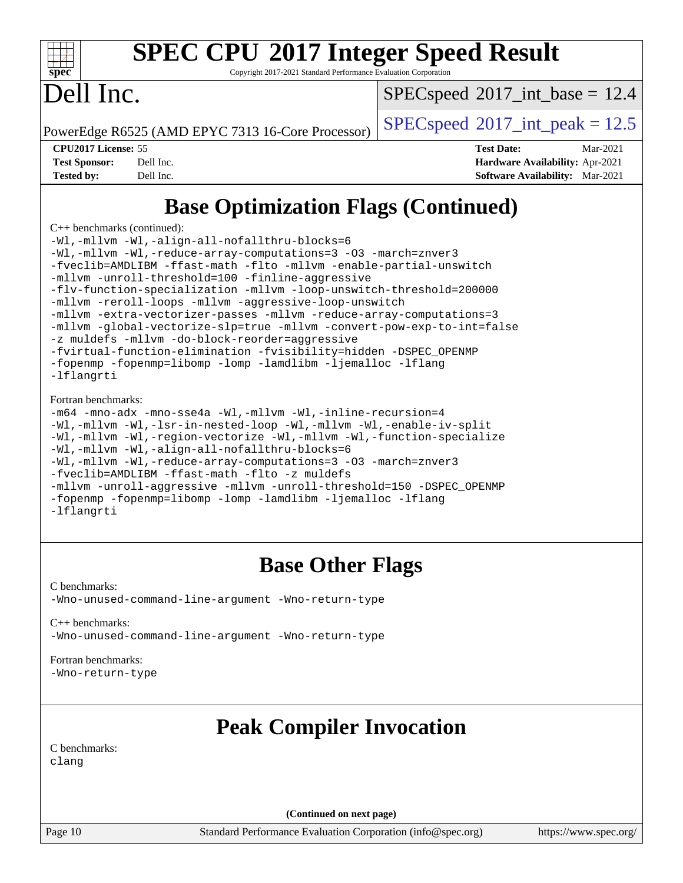| s | U | c | Ľ |  |
|---|---|---|---|--|

Copyright 2017-2021 Standard Performance Evaluation Corporation

## Dell Inc.

 $SPECspeed^{\circ}2017\_int\_base = 12.4$  $SPECspeed^{\circ}2017\_int\_base = 12.4$ 

PowerEdge R6525 (AMD EPYC 7313 16-Core Processor)  $\left|$  [SPECspeed](http://www.spec.org/auto/cpu2017/Docs/result-fields.html#SPECspeed2017intpeak)®[2017\\_int\\_peak = 1](http://www.spec.org/auto/cpu2017/Docs/result-fields.html#SPECspeed2017intpeak)2.5

**[CPU2017 License:](http://www.spec.org/auto/cpu2017/Docs/result-fields.html#CPU2017License)** 55 **[Test Date:](http://www.spec.org/auto/cpu2017/Docs/result-fields.html#TestDate)** Mar-2021 **[Test Sponsor:](http://www.spec.org/auto/cpu2017/Docs/result-fields.html#TestSponsor)** Dell Inc. **[Hardware Availability:](http://www.spec.org/auto/cpu2017/Docs/result-fields.html#HardwareAvailability)** Apr-2021 **[Tested by:](http://www.spec.org/auto/cpu2017/Docs/result-fields.html#Testedby)** Dell Inc. **[Software Availability:](http://www.spec.org/auto/cpu2017/Docs/result-fields.html#SoftwareAvailability)** Mar-2021

### **[Base Optimization Flags \(Continued\)](http://www.spec.org/auto/cpu2017/Docs/result-fields.html#BaseOptimizationFlags)**

[C++ benchmarks](http://www.spec.org/auto/cpu2017/Docs/result-fields.html#CXXbenchmarks) (continued):

[-Wl,-mllvm -Wl,-align-all-nofallthru-blocks=6](http://www.spec.org/cpu2017/results/res2021q1/cpu2017-20210315-25315.flags.html#user_CXXbase_F-align-all-nofallthru-blocks) [-Wl,-mllvm -Wl,-reduce-array-computations=3](http://www.spec.org/cpu2017/results/res2021q1/cpu2017-20210315-25315.flags.html#user_CXXbase_F-reduce-array-computations_b882aefe7a5dda4e33149f6299762b9a720dace3e498e13756f4c04e5a19edf5315c1f3993de2e61ec41e8c206231f84e05da7040e1bb5d69ba27d10a12507e4) [-O3](http://www.spec.org/cpu2017/results/res2021q1/cpu2017-20210315-25315.flags.html#user_CXXbase_F-O3) [-march=znver3](http://www.spec.org/cpu2017/results/res2021q1/cpu2017-20210315-25315.flags.html#user_CXXbase_aocc-march) [-fveclib=AMDLIBM](http://www.spec.org/cpu2017/results/res2021q1/cpu2017-20210315-25315.flags.html#user_CXXbase_F-fveclib) [-ffast-math](http://www.spec.org/cpu2017/results/res2021q1/cpu2017-20210315-25315.flags.html#user_CXXbase_aocc-ffast-math) [-flto](http://www.spec.org/cpu2017/results/res2021q1/cpu2017-20210315-25315.flags.html#user_CXXbase_aocc-flto) [-mllvm -enable-partial-unswitch](http://www.spec.org/cpu2017/results/res2021q1/cpu2017-20210315-25315.flags.html#user_CXXbase_F-enable-partial-unswitch_6e1c33f981d77963b1eaf834973128a7f33ce3f8e27f54689656697a35e89dcc875281e0e6283d043e32f367dcb605ba0e307a92e830f7e326789fa6c61b35d3) [-mllvm -unroll-threshold=100](http://www.spec.org/cpu2017/results/res2021q1/cpu2017-20210315-25315.flags.html#user_CXXbase_F-unroll-threshold) [-finline-aggressive](http://www.spec.org/cpu2017/results/res2021q1/cpu2017-20210315-25315.flags.html#user_CXXbase_F-finline-aggressive) [-flv-function-specialization](http://www.spec.org/cpu2017/results/res2021q1/cpu2017-20210315-25315.flags.html#user_CXXbase_F-flv-function-specialization) [-mllvm -loop-unswitch-threshold=200000](http://www.spec.org/cpu2017/results/res2021q1/cpu2017-20210315-25315.flags.html#user_CXXbase_F-loop-unswitch-threshold_f9a82ae3270e55b5fbf79d0d96ee93606b73edbbe527d20b18b7bff1a3a146ad50cfc7454c5297978340ae9213029016a7d16221274d672d3f7f42ed25274e1d) [-mllvm -reroll-loops](http://www.spec.org/cpu2017/results/res2021q1/cpu2017-20210315-25315.flags.html#user_CXXbase_F-reroll-loops) [-mllvm -aggressive-loop-unswitch](http://www.spec.org/cpu2017/results/res2021q1/cpu2017-20210315-25315.flags.html#user_CXXbase_F-aggressive-loop-unswitch_abd8177005d493f9a81f88ae32814acdc0422950e54bc53b0605c538e2e7549eb43d48c826089056b98aa2f0c142dc7ed1401fa1c97db9286a8c3ff748437b59) [-mllvm -extra-vectorizer-passes](http://www.spec.org/cpu2017/results/res2021q1/cpu2017-20210315-25315.flags.html#user_CXXbase_F-extra-vectorizer-passes_4bb9f90681e045f5ce38050c5c48e52c5a95ed819cbc44e12f6b389a91a38f1bfb7d9f51b06906bf2bd7ccd881019f6383c418982c71e3a142c10a060056d555) [-mllvm -reduce-array-computations=3](http://www.spec.org/cpu2017/results/res2021q1/cpu2017-20210315-25315.flags.html#user_CXXbase_F-reduce-array-computations) [-mllvm -global-vectorize-slp=true](http://www.spec.org/cpu2017/results/res2021q1/cpu2017-20210315-25315.flags.html#user_CXXbase_F-global-vectorize-slp_f701c289ed3fc79483844cad3672606d268e3123d2651e764a36e57810b634b30ff7af25c43ce4288d0e4c1cc47ba156fce6ed971bc0d0e53c4c557f353d3dec) [-mllvm -convert-pow-exp-to-int=false](http://www.spec.org/cpu2017/results/res2021q1/cpu2017-20210315-25315.flags.html#user_CXXbase_F-convert-pow-exp-to-int_48075d7f300181d7350b7c152e089ba974e4acf53c583458eae87b0ecd6f9aa5a8546e2797aca77a784d497b972647cfd65b81c02996ee1106af5ba1043433c1) [-z muldefs](http://www.spec.org/cpu2017/results/res2021q1/cpu2017-20210315-25315.flags.html#user_CXXbase_aocc-muldefs) [-mllvm -do-block-reorder=aggressive](http://www.spec.org/cpu2017/results/res2021q1/cpu2017-20210315-25315.flags.html#user_CXXbase_F-do-block-reorder) [-fvirtual-function-elimination](http://www.spec.org/cpu2017/results/res2021q1/cpu2017-20210315-25315.flags.html#user_CXXbase_F-fvirtual-function-elimination) [-fvisibility=hidden](http://www.spec.org/cpu2017/results/res2021q1/cpu2017-20210315-25315.flags.html#user_CXXbase_F-fvisibility) [-DSPEC\\_OPENMP](http://www.spec.org/cpu2017/results/res2021q1/cpu2017-20210315-25315.flags.html#suite_CXXbase_DSPEC_OPENMP) [-fopenmp](http://www.spec.org/cpu2017/results/res2021q1/cpu2017-20210315-25315.flags.html#user_CXXbase_aocc-fopenmp) [-fopenmp=libomp](http://www.spec.org/cpu2017/results/res2021q1/cpu2017-20210315-25315.flags.html#user_CXXbase_aocc-fopenmp_3eb6ab80166bcc84161ff8c20c8d5bc344f88119f45620444596454f7d72e99b7a0ceefc2d1b4d190bd07306bbfdfc20f11f5a2dc69c9b03c72239f8406741c3) [-lomp](http://www.spec.org/cpu2017/results/res2021q1/cpu2017-20210315-25315.flags.html#user_CXXbase_F-lomp) [-lamdlibm](http://www.spec.org/cpu2017/results/res2021q1/cpu2017-20210315-25315.flags.html#user_CXXbase_F-lamdlibm) [-ljemalloc](http://www.spec.org/cpu2017/results/res2021q1/cpu2017-20210315-25315.flags.html#user_CXXbase_jemalloc-lib) [-lflang](http://www.spec.org/cpu2017/results/res2021q1/cpu2017-20210315-25315.flags.html#user_CXXbase_F-lflang) [-lflangrti](http://www.spec.org/cpu2017/results/res2021q1/cpu2017-20210315-25315.flags.html#user_CXXbase_F-lflangrti) [Fortran benchmarks](http://www.spec.org/auto/cpu2017/Docs/result-fields.html#Fortranbenchmarks): [-m64](http://www.spec.org/cpu2017/results/res2021q1/cpu2017-20210315-25315.flags.html#user_FCbase_F-m64) [-mno-adx](http://www.spec.org/cpu2017/results/res2021q1/cpu2017-20210315-25315.flags.html#user_FCbase_F-mno-adx) [-mno-sse4a](http://www.spec.org/cpu2017/results/res2021q1/cpu2017-20210315-25315.flags.html#user_FCbase_F-mno-sse4a) [-Wl,-mllvm -Wl,-inline-recursion=4](http://www.spec.org/cpu2017/results/res2021q1/cpu2017-20210315-25315.flags.html#user_FCbase_F-inline-recursion) [-Wl,-mllvm -Wl,-lsr-in-nested-loop](http://www.spec.org/cpu2017/results/res2021q1/cpu2017-20210315-25315.flags.html#user_FCbase_F-lsr-in-nested-loop) [-Wl,-mllvm -Wl,-enable-iv-split](http://www.spec.org/cpu2017/results/res2021q1/cpu2017-20210315-25315.flags.html#user_FCbase_F-enable-iv-split) [-Wl,-mllvm -Wl,-region-vectorize](http://www.spec.org/cpu2017/results/res2021q1/cpu2017-20210315-25315.flags.html#user_FCbase_F-region-vectorize_fb6c6b5aa293c88efc6c7c2b52b20755e943585b1fe8658c35afef78727fff56e1a56891413c30e36b8e2a6f9a71126986319243e80eb6110b78b288f533c52b) [-Wl,-mllvm -Wl,-function-specialize](http://www.spec.org/cpu2017/results/res2021q1/cpu2017-20210315-25315.flags.html#user_FCbase_F-function-specialize_7e7e661e57922243ee67c9a1251cb8910e607325179a0ce7f2884e09a6f5d4a5ef0ae4f37e8a2a11c95fc48e931f06dc2b6016f14b511fcb441e048bef1b065a) [-Wl,-mllvm -Wl,-align-all-nofallthru-blocks=6](http://www.spec.org/cpu2017/results/res2021q1/cpu2017-20210315-25315.flags.html#user_FCbase_F-align-all-nofallthru-blocks) [-Wl,-mllvm -Wl,-reduce-array-computations=3](http://www.spec.org/cpu2017/results/res2021q1/cpu2017-20210315-25315.flags.html#user_FCbase_F-reduce-array-computations_b882aefe7a5dda4e33149f6299762b9a720dace3e498e13756f4c04e5a19edf5315c1f3993de2e61ec41e8c206231f84e05da7040e1bb5d69ba27d10a12507e4) [-O3](http://www.spec.org/cpu2017/results/res2021q1/cpu2017-20210315-25315.flags.html#user_FCbase_F-O3) [-march=znver3](http://www.spec.org/cpu2017/results/res2021q1/cpu2017-20210315-25315.flags.html#user_FCbase_aocc-march)

[-fveclib=AMDLIBM](http://www.spec.org/cpu2017/results/res2021q1/cpu2017-20210315-25315.flags.html#user_FCbase_F-fveclib) [-ffast-math](http://www.spec.org/cpu2017/results/res2021q1/cpu2017-20210315-25315.flags.html#user_FCbase_aocc-ffast-math) [-flto](http://www.spec.org/cpu2017/results/res2021q1/cpu2017-20210315-25315.flags.html#user_FCbase_aocc-flto) [-z muldefs](http://www.spec.org/cpu2017/results/res2021q1/cpu2017-20210315-25315.flags.html#user_FCbase_aocc-muldefs) [-mllvm -unroll-aggressive](http://www.spec.org/cpu2017/results/res2021q1/cpu2017-20210315-25315.flags.html#user_FCbase_F-unroll-aggressive) [-mllvm -unroll-threshold=150](http://www.spec.org/cpu2017/results/res2021q1/cpu2017-20210315-25315.flags.html#user_FCbase_F-unroll-threshold_3352736ce55666ed13437f5f5fd6693920e68d4dfd26bba42492bb1c46b6d7692ff5ba7bd4d2ebdab48d140ca981a39154ff0664b4d322a66fc3d1aafa4d7ffe) -DSPEC OPENMP [-fopenmp](http://www.spec.org/cpu2017/results/res2021q1/cpu2017-20210315-25315.flags.html#user_FCbase_aocc-fopenmp) [-fopenmp=libomp](http://www.spec.org/cpu2017/results/res2021q1/cpu2017-20210315-25315.flags.html#user_FCbase_aocc-fopenmp_3eb6ab80166bcc84161ff8c20c8d5bc344f88119f45620444596454f7d72e99b7a0ceefc2d1b4d190bd07306bbfdfc20f11f5a2dc69c9b03c72239f8406741c3) [-lomp](http://www.spec.org/cpu2017/results/res2021q1/cpu2017-20210315-25315.flags.html#user_FCbase_F-lomp) [-lamdlibm](http://www.spec.org/cpu2017/results/res2021q1/cpu2017-20210315-25315.flags.html#user_FCbase_F-lamdlibm) [-ljemalloc](http://www.spec.org/cpu2017/results/res2021q1/cpu2017-20210315-25315.flags.html#user_FCbase_jemalloc-lib) [-lflang](http://www.spec.org/cpu2017/results/res2021q1/cpu2017-20210315-25315.flags.html#user_FCbase_F-lflang)

[-lflangrti](http://www.spec.org/cpu2017/results/res2021q1/cpu2017-20210315-25315.flags.html#user_FCbase_F-lflangrti)

#### **[Base Other Flags](http://www.spec.org/auto/cpu2017/Docs/result-fields.html#BaseOtherFlags)**

[C benchmarks](http://www.spec.org/auto/cpu2017/Docs/result-fields.html#Cbenchmarks): [-Wno-unused-command-line-argument](http://www.spec.org/cpu2017/results/res2021q1/cpu2017-20210315-25315.flags.html#user_CCbase_F-Wno-unused-command-line-argument) [-Wno-return-type](http://www.spec.org/cpu2017/results/res2021q1/cpu2017-20210315-25315.flags.html#user_CCbase_F-Waocc-no-return-type)

[C++ benchmarks:](http://www.spec.org/auto/cpu2017/Docs/result-fields.html#CXXbenchmarks) [-Wno-unused-command-line-argument](http://www.spec.org/cpu2017/results/res2021q1/cpu2017-20210315-25315.flags.html#user_CXXbase_F-Wno-unused-command-line-argument) [-Wno-return-type](http://www.spec.org/cpu2017/results/res2021q1/cpu2017-20210315-25315.flags.html#user_CXXbase_F-Waocc-no-return-type)

#### [Fortran benchmarks](http://www.spec.org/auto/cpu2017/Docs/result-fields.html#Fortranbenchmarks):

[-Wno-return-type](http://www.spec.org/cpu2017/results/res2021q1/cpu2017-20210315-25315.flags.html#user_FCbase_F-Waocc-no-return-type)

### **[Peak Compiler Invocation](http://www.spec.org/auto/cpu2017/Docs/result-fields.html#PeakCompilerInvocation)**

[C benchmarks](http://www.spec.org/auto/cpu2017/Docs/result-fields.html#Cbenchmarks): [clang](http://www.spec.org/cpu2017/results/res2021q1/cpu2017-20210315-25315.flags.html#user_CCpeak_clang-c)

**(Continued on next page)**

Page 10 Standard Performance Evaluation Corporation [\(info@spec.org\)](mailto:info@spec.org) <https://www.spec.org/>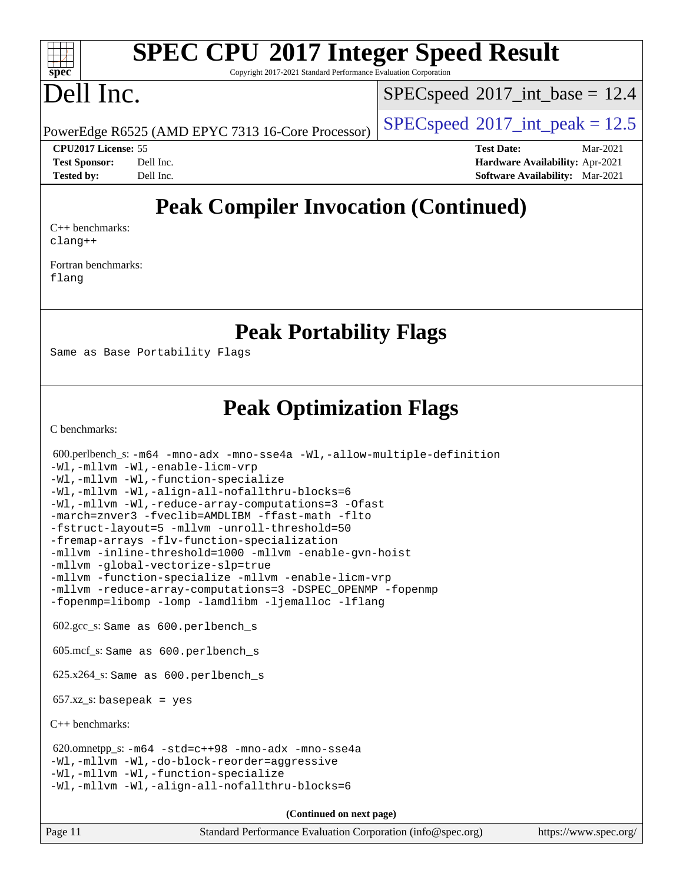#### $\pm\pm\prime$ **[spec](http://www.spec.org/)**

# **[SPEC CPU](http://www.spec.org/auto/cpu2017/Docs/result-fields.html#SPECCPU2017IntegerSpeedResult)[2017 Integer Speed Result](http://www.spec.org/auto/cpu2017/Docs/result-fields.html#SPECCPU2017IntegerSpeedResult)**

Copyright 2017-2021 Standard Performance Evaluation Corporation

### Dell Inc.

 $SPEC speed$ <sup>®</sup> $2017$ \_int\_base = 12.4

PowerEdge R6525 (AMD EPYC 7313 16-Core Processor) [SPECspeed](http://www.spec.org/auto/cpu2017/Docs/result-fields.html#SPECspeed2017intpeak)<sup>®</sup>[2017\\_int\\_peak = 1](http://www.spec.org/auto/cpu2017/Docs/result-fields.html#SPECspeed2017intpeak)2.5

**[CPU2017 License:](http://www.spec.org/auto/cpu2017/Docs/result-fields.html#CPU2017License)** 55 **[Test Date:](http://www.spec.org/auto/cpu2017/Docs/result-fields.html#TestDate)** Mar-2021 **[Test Sponsor:](http://www.spec.org/auto/cpu2017/Docs/result-fields.html#TestSponsor)** Dell Inc. **[Hardware Availability:](http://www.spec.org/auto/cpu2017/Docs/result-fields.html#HardwareAvailability)** Apr-2021 **[Tested by:](http://www.spec.org/auto/cpu2017/Docs/result-fields.html#Testedby)** Dell Inc. **[Software Availability:](http://www.spec.org/auto/cpu2017/Docs/result-fields.html#SoftwareAvailability)** Mar-2021

### **[Peak Compiler Invocation \(Continued\)](http://www.spec.org/auto/cpu2017/Docs/result-fields.html#PeakCompilerInvocation)**

[C++ benchmarks:](http://www.spec.org/auto/cpu2017/Docs/result-fields.html#CXXbenchmarks) [clang++](http://www.spec.org/cpu2017/results/res2021q1/cpu2017-20210315-25315.flags.html#user_CXXpeak_clang-cpp)

[Fortran benchmarks](http://www.spec.org/auto/cpu2017/Docs/result-fields.html#Fortranbenchmarks): [flang](http://www.spec.org/cpu2017/results/res2021q1/cpu2017-20210315-25315.flags.html#user_FCpeak_flang)

#### **[Peak Portability Flags](http://www.spec.org/auto/cpu2017/Docs/result-fields.html#PeakPortabilityFlags)**

Same as Base Portability Flags

### **[Peak Optimization Flags](http://www.spec.org/auto/cpu2017/Docs/result-fields.html#PeakOptimizationFlags)**

[C benchmarks](http://www.spec.org/auto/cpu2017/Docs/result-fields.html#Cbenchmarks):

| $600.$ perlbench s: $-m64$ -mno-adx -mno-sse4a -Wl,-allow-multiple-definition<br>-Wl,-mllvm -Wl,-enable-licm-vrp<br>-Wl,-mllvm -Wl,-function-specialize<br>-Wl,-mllvm -Wl,-align-all-nofallthru-blocks=6<br>-Wl,-mllvm -Wl,-reduce-array-computations=3 -Ofast<br>-march=znver3 -fveclib=AMDLIBM -ffast-math -flto<br>-fstruct-layout=5 -mllvm -unroll-threshold=50<br>-fremap-arrays -flv-function-specialization<br>-mllvm -inline-threshold=1000 -mllvm -enable-qvn-hoist<br>-mllvm -global-vectorize-slp=true<br>-mllvm -function-specialize -mllvm -enable-licm-vrp<br>-mllvm -reduce-array-computations=3 -DSPEC_OPENMP -fopenmp |  |  |  |  |
|----------------------------------------------------------------------------------------------------------------------------------------------------------------------------------------------------------------------------------------------------------------------------------------------------------------------------------------------------------------------------------------------------------------------------------------------------------------------------------------------------------------------------------------------------------------------------------------------------------------------------------------|--|--|--|--|
| -fopenmp=libomp -lomp -lamdlibm -ljemalloc -lflang                                                                                                                                                                                                                                                                                                                                                                                                                                                                                                                                                                                     |  |  |  |  |
| $602.\text{gcc}\text{ s}$ : Same as $600.\text{perlbench}\text{ s}$                                                                                                                                                                                                                                                                                                                                                                                                                                                                                                                                                                    |  |  |  |  |
| $605 \text{.mcf}\text{-}s$ : Same as $600 \text{.perlbench}$ s                                                                                                                                                                                                                                                                                                                                                                                                                                                                                                                                                                         |  |  |  |  |
| $625.x264_s$ : Same as $600.$ perlbench s                                                                                                                                                                                                                                                                                                                                                                                                                                                                                                                                                                                              |  |  |  |  |
| $657.xz$ _s: basepeak = yes                                                                                                                                                                                                                                                                                                                                                                                                                                                                                                                                                                                                            |  |  |  |  |
| $C++$ benchmarks:                                                                                                                                                                                                                                                                                                                                                                                                                                                                                                                                                                                                                      |  |  |  |  |
| $620.0$ mnetpp_s: $-m64$ $-std=c++98$ $-mno-adx$ $-mno-sse4a$<br>-Wl,-mllvm -Wl,-do-block-reorder=aggressive<br>-Wl,-mllvm -Wl,-function-specialize<br>-Wl,-mllvm -Wl,-align-all-nofallthru-blocks=6                                                                                                                                                                                                                                                                                                                                                                                                                                   |  |  |  |  |
| (Continued on next page)                                                                                                                                                                                                                                                                                                                                                                                                                                                                                                                                                                                                               |  |  |  |  |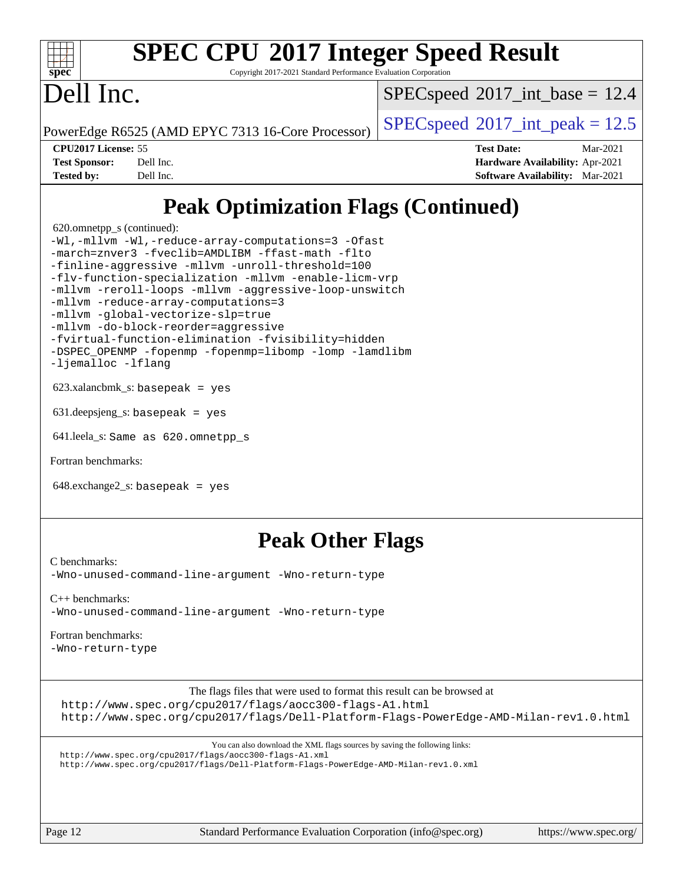| spe<br>۴<br>Ľ |  |  |  |  |  |  |
|---------------|--|--|--|--|--|--|

Copyright 2017-2021 Standard Performance Evaluation Corporation

## Dell Inc.

 $SPECspeed^{\circ}2017\_int\_base = 12.4$  $SPECspeed^{\circ}2017\_int\_base = 12.4$ 

PowerEdge R6525 (AMD EPYC 7313 16-Core Processor)  $\left|$  [SPECspeed](http://www.spec.org/auto/cpu2017/Docs/result-fields.html#SPECspeed2017intpeak)®[2017\\_int\\_peak = 1](http://www.spec.org/auto/cpu2017/Docs/result-fields.html#SPECspeed2017intpeak)2.5

**[CPU2017 License:](http://www.spec.org/auto/cpu2017/Docs/result-fields.html#CPU2017License)** 55 **[Test Date:](http://www.spec.org/auto/cpu2017/Docs/result-fields.html#TestDate)** Mar-2021 **[Test Sponsor:](http://www.spec.org/auto/cpu2017/Docs/result-fields.html#TestSponsor)** Dell Inc. **[Hardware Availability:](http://www.spec.org/auto/cpu2017/Docs/result-fields.html#HardwareAvailability)** Apr-2021 **[Tested by:](http://www.spec.org/auto/cpu2017/Docs/result-fields.html#Testedby)** Dell Inc. **[Software Availability:](http://www.spec.org/auto/cpu2017/Docs/result-fields.html#SoftwareAvailability)** Mar-2021

### **[Peak Optimization Flags \(Continued\)](http://www.spec.org/auto/cpu2017/Docs/result-fields.html#PeakOptimizationFlags)**

620.omnetpp\_s (continued):

[-Wl,-mllvm -Wl,-reduce-array-computations=3](http://www.spec.org/cpu2017/results/res2021q1/cpu2017-20210315-25315.flags.html#user_peakEXTRA_LDFLAGS620_omnetpp_s_F-reduce-array-computations_b882aefe7a5dda4e33149f6299762b9a720dace3e498e13756f4c04e5a19edf5315c1f3993de2e61ec41e8c206231f84e05da7040e1bb5d69ba27d10a12507e4) [-Ofast](http://www.spec.org/cpu2017/results/res2021q1/cpu2017-20210315-25315.flags.html#user_peakCXXOPTIMIZE620_omnetpp_s_aocc-Ofast) [-march=znver3](http://www.spec.org/cpu2017/results/res2021q1/cpu2017-20210315-25315.flags.html#user_peakCXXOPTIMIZE620_omnetpp_s_aocc-march) [-fveclib=AMDLIBM](http://www.spec.org/cpu2017/results/res2021q1/cpu2017-20210315-25315.flags.html#user_peakCXXOPTIMIZE620_omnetpp_s_F-fveclib) [-ffast-math](http://www.spec.org/cpu2017/results/res2021q1/cpu2017-20210315-25315.flags.html#user_peakCXXOPTIMIZE620_omnetpp_s_aocc-ffast-math) [-flto](http://www.spec.org/cpu2017/results/res2021q1/cpu2017-20210315-25315.flags.html#user_peakCXXOPTIMIZE620_omnetpp_s_aocc-flto) [-finline-aggressive](http://www.spec.org/cpu2017/results/res2021q1/cpu2017-20210315-25315.flags.html#user_peakCXXOPTIMIZE620_omnetpp_s_F-finline-aggressive) [-mllvm -unroll-threshold=100](http://www.spec.org/cpu2017/results/res2021q1/cpu2017-20210315-25315.flags.html#user_peakCXXOPTIMIZE620_omnetpp_s_F-unroll-threshold) [-flv-function-specialization](http://www.spec.org/cpu2017/results/res2021q1/cpu2017-20210315-25315.flags.html#user_peakCXXOPTIMIZE620_omnetpp_s_F-flv-function-specialization) [-mllvm -enable-licm-vrp](http://www.spec.org/cpu2017/results/res2021q1/cpu2017-20210315-25315.flags.html#user_peakCXXOPTIMIZE620_omnetpp_s_F-enable-licm-vrp_82fd83574dee81d8c8043a1355024a53ba7c23d449242d72368fd778ae4cd8625fb6c8e473e88c632367ccc13b0c321b9a13b8db897fcfc1592cf0205fd356b5) [-mllvm -reroll-loops](http://www.spec.org/cpu2017/results/res2021q1/cpu2017-20210315-25315.flags.html#user_peakCXXOPTIMIZE620_omnetpp_s_F-reroll-loops) [-mllvm -aggressive-loop-unswitch](http://www.spec.org/cpu2017/results/res2021q1/cpu2017-20210315-25315.flags.html#user_peakCXXOPTIMIZE620_omnetpp_s_F-aggressive-loop-unswitch_abd8177005d493f9a81f88ae32814acdc0422950e54bc53b0605c538e2e7549eb43d48c826089056b98aa2f0c142dc7ed1401fa1c97db9286a8c3ff748437b59) [-mllvm -reduce-array-computations=3](http://www.spec.org/cpu2017/results/res2021q1/cpu2017-20210315-25315.flags.html#user_peakCXXOPTIMIZE620_omnetpp_s_F-reduce-array-computations) [-mllvm -global-vectorize-slp=true](http://www.spec.org/cpu2017/results/res2021q1/cpu2017-20210315-25315.flags.html#user_peakCXXOPTIMIZE620_omnetpp_s_F-global-vectorize-slp_f701c289ed3fc79483844cad3672606d268e3123d2651e764a36e57810b634b30ff7af25c43ce4288d0e4c1cc47ba156fce6ed971bc0d0e53c4c557f353d3dec) [-mllvm -do-block-reorder=aggressive](http://www.spec.org/cpu2017/results/res2021q1/cpu2017-20210315-25315.flags.html#user_peakEXTRA_CXXFLAGS620_omnetpp_s_F-do-block-reorder) [-fvirtual-function-elimination](http://www.spec.org/cpu2017/results/res2021q1/cpu2017-20210315-25315.flags.html#user_peakEXTRA_CXXFLAGS620_omnetpp_s_F-fvirtual-function-elimination) [-fvisibility=hidden](http://www.spec.org/cpu2017/results/res2021q1/cpu2017-20210315-25315.flags.html#user_peakEXTRA_CXXFLAGS620_omnetpp_s_F-fvisibility) [-DSPEC\\_OPENMP](http://www.spec.org/cpu2017/results/res2021q1/cpu2017-20210315-25315.flags.html#suite_peakEXTRA_OPTIMIZE620_omnetpp_s_DSPEC_OPENMP) [-fopenmp](http://www.spec.org/cpu2017/results/res2021q1/cpu2017-20210315-25315.flags.html#user_peakEXTRA_OPTIMIZE620_omnetpp_s_aocc-fopenmp) [-fopenmp=libomp](http://www.spec.org/cpu2017/results/res2021q1/cpu2017-20210315-25315.flags.html#user_peakEXTRA_LIBS620_omnetpp_s_aocc-fopenmp_3eb6ab80166bcc84161ff8c20c8d5bc344f88119f45620444596454f7d72e99b7a0ceefc2d1b4d190bd07306bbfdfc20f11f5a2dc69c9b03c72239f8406741c3) [-lomp](http://www.spec.org/cpu2017/results/res2021q1/cpu2017-20210315-25315.flags.html#user_peakEXTRA_LIBS620_omnetpp_s_F-lomp) [-lamdlibm](http://www.spec.org/cpu2017/results/res2021q1/cpu2017-20210315-25315.flags.html#user_peakEXTRA_LIBS620_omnetpp_s_F-lamdlibm) [-ljemalloc](http://www.spec.org/cpu2017/results/res2021q1/cpu2017-20210315-25315.flags.html#user_peakEXTRA_LIBS620_omnetpp_s_jemalloc-lib) [-lflang](http://www.spec.org/cpu2017/results/res2021q1/cpu2017-20210315-25315.flags.html#user_peakEXTRA_LIBS620_omnetpp_s_F-lflang)

 $623.xalanchmk s: basepeak = yes$ 

631.deepsjeng\_s: basepeak = yes

641.leela\_s: Same as 620.omnetpp\_s

[Fortran benchmarks](http://www.spec.org/auto/cpu2017/Docs/result-fields.html#Fortranbenchmarks):

648.exchange2\_s: basepeak = yes

#### **[Peak Other Flags](http://www.spec.org/auto/cpu2017/Docs/result-fields.html#PeakOtherFlags)**

[C benchmarks](http://www.spec.org/auto/cpu2017/Docs/result-fields.html#Cbenchmarks): [-Wno-unused-command-line-argument](http://www.spec.org/cpu2017/results/res2021q1/cpu2017-20210315-25315.flags.html#user_CCpeak_F-Wno-unused-command-line-argument) [-Wno-return-type](http://www.spec.org/cpu2017/results/res2021q1/cpu2017-20210315-25315.flags.html#user_CCpeak_F-Waocc-no-return-type)

[C++ benchmarks:](http://www.spec.org/auto/cpu2017/Docs/result-fields.html#CXXbenchmarks) [-Wno-unused-command-line-argument](http://www.spec.org/cpu2017/results/res2021q1/cpu2017-20210315-25315.flags.html#user_CXXpeak_F-Wno-unused-command-line-argument) [-Wno-return-type](http://www.spec.org/cpu2017/results/res2021q1/cpu2017-20210315-25315.flags.html#user_CXXpeak_F-Waocc-no-return-type)

#### [Fortran benchmarks](http://www.spec.org/auto/cpu2017/Docs/result-fields.html#Fortranbenchmarks):

[-Wno-return-type](http://www.spec.org/cpu2017/results/res2021q1/cpu2017-20210315-25315.flags.html#user_FCpeak_F-Waocc-no-return-type)

[The flags files that were used to format this result can be browsed at](tmsearch) <http://www.spec.org/cpu2017/flags/aocc300-flags-A1.html> <http://www.spec.org/cpu2017/flags/Dell-Platform-Flags-PowerEdge-AMD-Milan-rev1.0.html>

[You can also download the XML flags sources by saving the following links:](tmsearch)

<http://www.spec.org/cpu2017/flags/aocc300-flags-A1.xml>

<http://www.spec.org/cpu2017/flags/Dell-Platform-Flags-PowerEdge-AMD-Milan-rev1.0.xml>